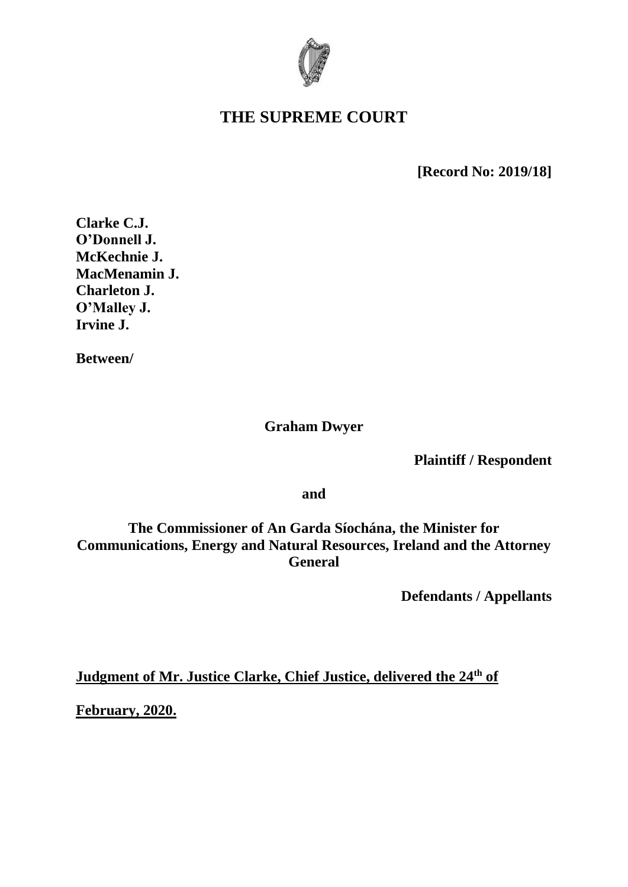

# **THE SUPREME COURT**

**[Record No: 2019/18]** 

**Clarke C.J. O'Donnell J. McKechnie J. MacMenamin J. Charleton J. O'Malley J. Irvine J.**

**Between/**

# **Graham Dwyer**

**Plaintiff / Respondent**

**and**

# **The Commissioner of An Garda Síochána, the Minister for Communications, Energy and Natural Resources, Ireland and the Attorney General**

**Defendants / Appellants**

**Judgment of Mr. Justice Clarke, Chief Justice, delivered the 24th of** 

**February, 2020.**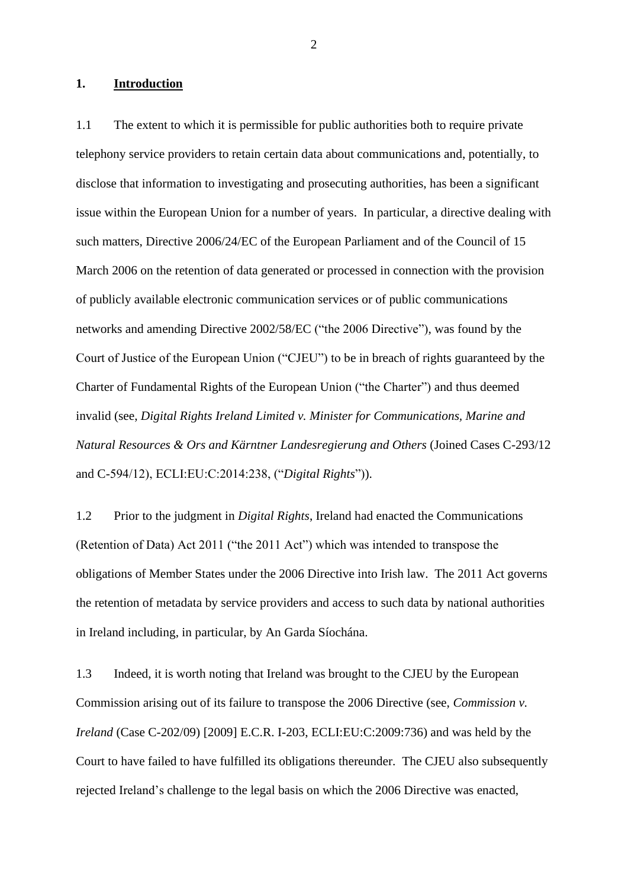#### **1. Introduction**

1.1 The extent to which it is permissible for public authorities both to require private telephony service providers to retain certain data about communications and, potentially, to disclose that information to investigating and prosecuting authorities, has been a significant issue within the European Union for a number of years. In particular, a directive dealing with such matters, Directive 2006/24/EC of the European Parliament and of the Council of 15 March 2006 on the retention of data generated or processed in connection with the provision of publicly available electronic communication services or of public communications networks and amending Directive 2002/58/EC ("the 2006 Directive"), was found by the Court of Justice of the European Union ("CJEU") to be in breach of rights guaranteed by the Charter of Fundamental Rights of the European Union ("the Charter") and thus deemed invalid (see, *Digital Rights Ireland Limited v. Minister for Communications, Marine and Natural Resources & Ors and Kärntner Landesregierung and Others* (Joined Cases C-293/12 and C-594/12), ECLI:EU:C:2014:238, ("*Digital Rights*")).

1.2 Prior to the judgment in *Digital Rights*, Ireland had enacted the Communications (Retention of Data) Act 2011 ("the 2011 Act") which was intended to transpose the obligations of Member States under the 2006 Directive into Irish law. The 2011 Act governs the retention of metadata by service providers and access to such data by national authorities in Ireland including, in particular, by An Garda Síochána.

1.3 Indeed, it is worth noting that Ireland was brought to the CJEU by the European Commission arising out of its failure to transpose the 2006 Directive (see, *Commission v. Ireland* (Case C-202/09) [2009] E.C.R. I-203, ECLI:EU:C:2009:736) and was held by the Court to have failed to have fulfilled its obligations thereunder. The CJEU also subsequently rejected Ireland's challenge to the legal basis on which the 2006 Directive was enacted,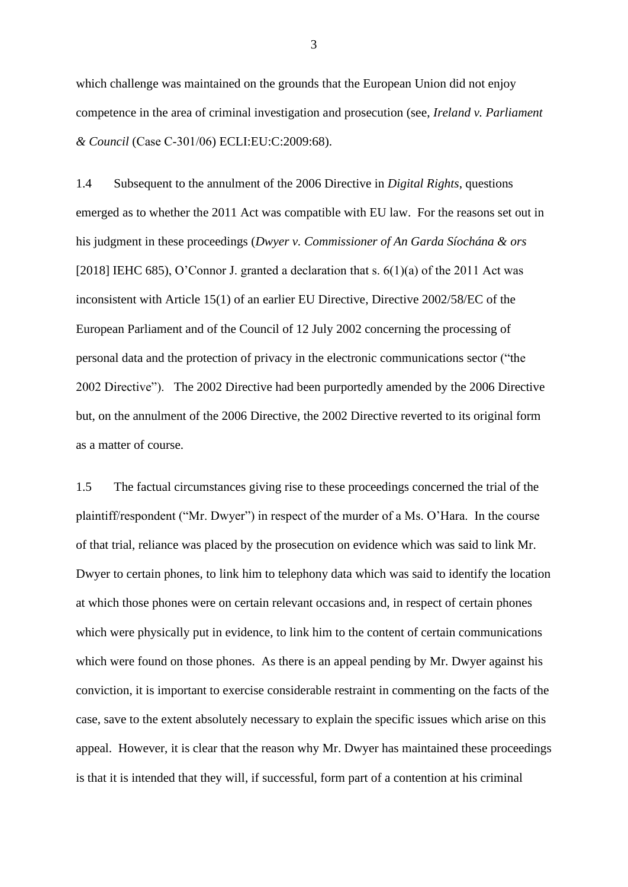which challenge was maintained on the grounds that the European Union did not enjoy competence in the area of criminal investigation and prosecution (see, *Ireland v. Parliament & Council* (Case C‑301/06) ECLI:EU:C:2009:68).

1.4 Subsequent to the annulment of the 2006 Directive in *Digital Rights*, questions emerged as to whether the 2011 Act was compatible with EU law. For the reasons set out in his judgment in these proceedings (*Dwyer v. Commissioner of An Garda Síochána & ors* [2018] IEHC 685), O'Connor J. granted a declaration that s.  $6(1)(a)$  of the 2011 Act was inconsistent with Article 15(1) of an earlier EU Directive, Directive 2002/58/EC of the European Parliament and of the Council of 12 July 2002 concerning the processing of personal data and the protection of privacy in the electronic communications sector ("the 2002 Directive"). The 2002 Directive had been purportedly amended by the 2006 Directive but, on the annulment of the 2006 Directive, the 2002 Directive reverted to its original form as a matter of course.

1.5 The factual circumstances giving rise to these proceedings concerned the trial of the plaintiff/respondent ("Mr. Dwyer") in respect of the murder of a Ms. O'Hara. In the course of that trial, reliance was placed by the prosecution on evidence which was said to link Mr. Dwyer to certain phones, to link him to telephony data which was said to identify the location at which those phones were on certain relevant occasions and, in respect of certain phones which were physically put in evidence, to link him to the content of certain communications which were found on those phones. As there is an appeal pending by Mr. Dwyer against his conviction, it is important to exercise considerable restraint in commenting on the facts of the case, save to the extent absolutely necessary to explain the specific issues which arise on this appeal. However, it is clear that the reason why Mr. Dwyer has maintained these proceedings is that it is intended that they will, if successful, form part of a contention at his criminal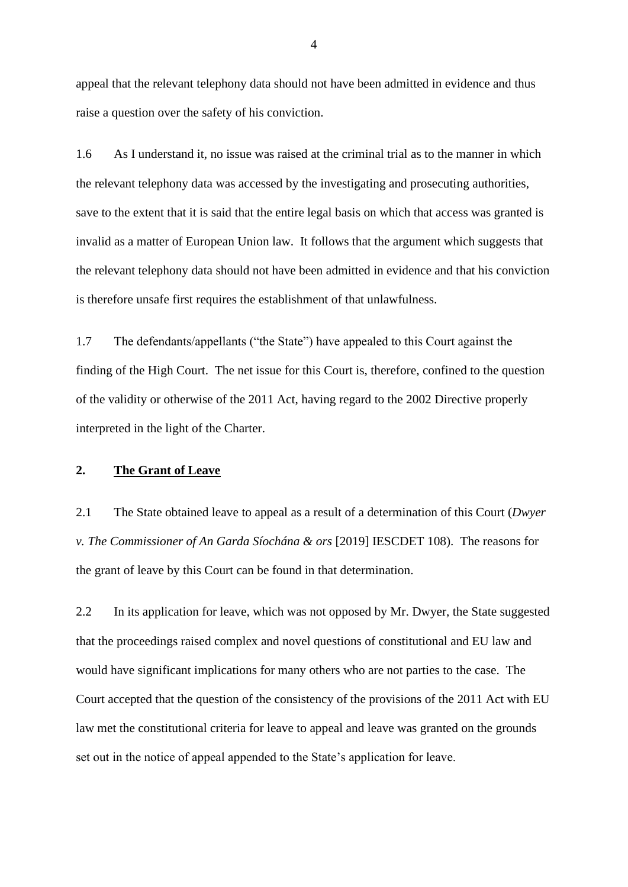appeal that the relevant telephony data should not have been admitted in evidence and thus raise a question over the safety of his conviction.

1.6 As I understand it, no issue was raised at the criminal trial as to the manner in which the relevant telephony data was accessed by the investigating and prosecuting authorities, save to the extent that it is said that the entire legal basis on which that access was granted is invalid as a matter of European Union law. It follows that the argument which suggests that the relevant telephony data should not have been admitted in evidence and that his conviction is therefore unsafe first requires the establishment of that unlawfulness.

1.7 The defendants/appellants ("the State") have appealed to this Court against the finding of the High Court. The net issue for this Court is, therefore, confined to the question of the validity or otherwise of the 2011 Act, having regard to the 2002 Directive properly interpreted in the light of the Charter.

### **2. The Grant of Leave**

2.1 The State obtained leave to appeal as a result of a determination of this Court (*Dwyer v. The Commissioner of An Garda Síochána & ors* [2019] IESCDET 108). The reasons for the grant of leave by this Court can be found in that determination.

2.2 In its application for leave, which was not opposed by Mr. Dwyer, the State suggested that the proceedings raised complex and novel questions of constitutional and EU law and would have significant implications for many others who are not parties to the case. The Court accepted that the question of the consistency of the provisions of the 2011 Act with EU law met the constitutional criteria for leave to appeal and leave was granted on the grounds set out in the notice of appeal appended to the State's application for leave.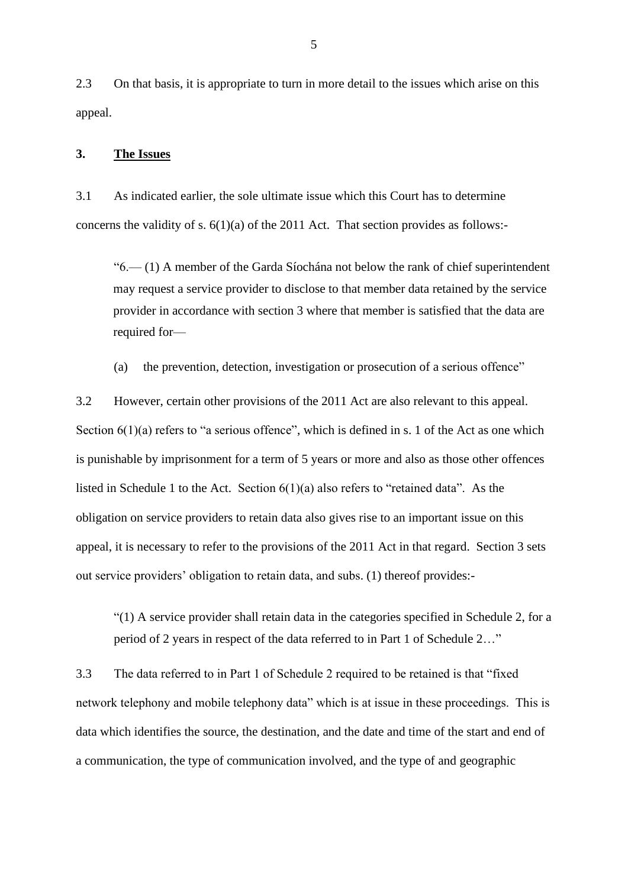2.3 On that basis, it is appropriate to turn in more detail to the issues which arise on this appeal.

#### **3. The Issues**

3.1 As indicated earlier, the sole ultimate issue which this Court has to determine concerns the validity of s.  $6(1)(a)$  of the 2011 Act. That section provides as follows:-

"6.— (1) A member of the Garda Síochána not below the rank of chief superintendent may request a service provider to disclose to that member data retained by the service provider in accordance with section 3 where that member is satisfied that the data are required for—

(a) the prevention, detection, investigation or prosecution of a serious offence"

3.2 However, certain other provisions of the 2011 Act are also relevant to this appeal. Section  $6(1)(a)$  refers to "a serious offence", which is defined in s. 1 of the Act as one which is punishable by imprisonment for a term of 5 years or more and also as those other offences listed in Schedule 1 to the Act. Section 6(1)(a) also refers to "retained data". As the obligation on service providers to retain data also gives rise to an important issue on this appeal, it is necessary to refer to the provisions of the 2011 Act in that regard. Section 3 sets out service providers' obligation to retain data, and subs. (1) thereof provides:-

"(1) A service provider shall retain data in the categories specified in Schedule 2, for a period of 2 years in respect of the data referred to in Part 1 of Schedule 2…"

3.3 The data referred to in Part 1 of Schedule 2 required to be retained is that "fixed network telephony and mobile telephony data" which is at issue in these proceedings. This is data which identifies the source, the destination, and the date and time of the start and end of a communication, the type of communication involved, and the type of and geographic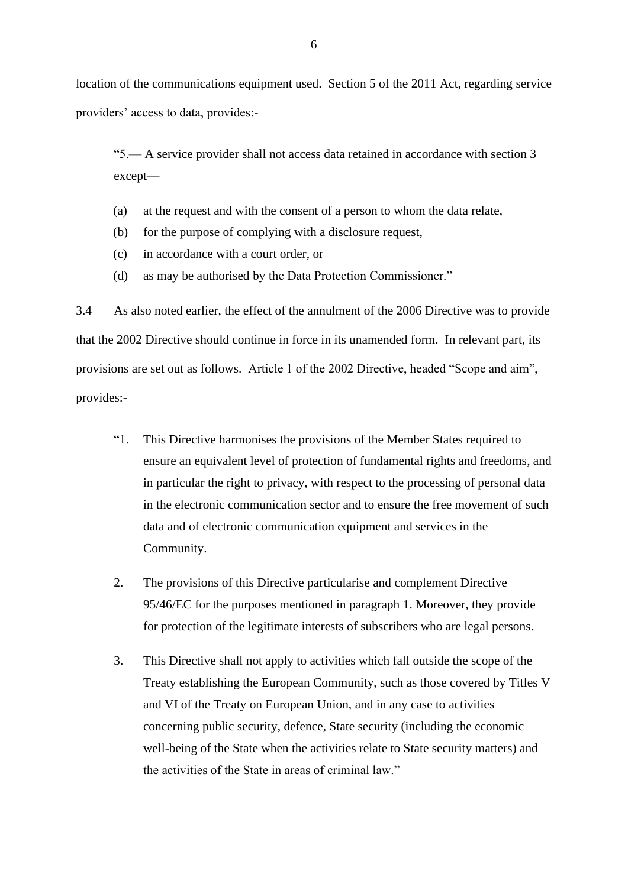location of the communications equipment used. Section 5 of the 2011 Act, regarding service providers' access to data, provides:-

"5.— A service provider shall not access data retained in accordance with section 3 except—

- (a) at the request and with the consent of a person to whom the data relate,
- (b) for the purpose of complying with a disclosure request,
- (c) in accordance with a court order, or
- (d) as may be authorised by the Data Protection Commissioner."

3.4 As also noted earlier, the effect of the annulment of the 2006 Directive was to provide that the 2002 Directive should continue in force in its unamended form. In relevant part, its provisions are set out as follows. Article 1 of the 2002 Directive, headed "Scope and aim", provides:-

- "1. This Directive harmonises the provisions of the Member States required to ensure an equivalent level of protection of fundamental rights and freedoms, and in particular the right to privacy, with respect to the processing of personal data in the electronic communication sector and to ensure the free movement of such data and of electronic communication equipment and services in the Community.
- 2. The provisions of this Directive particularise and complement Directive 95/46/EC for the purposes mentioned in paragraph 1. Moreover, they provide for protection of the legitimate interests of subscribers who are legal persons.
- 3. This Directive shall not apply to activities which fall outside the scope of the Treaty establishing the European Community, such as those covered by Titles V and VI of the Treaty on European Union, and in any case to activities concerning public security, defence, State security (including the economic well-being of the State when the activities relate to State security matters) and the activities of the State in areas of criminal law."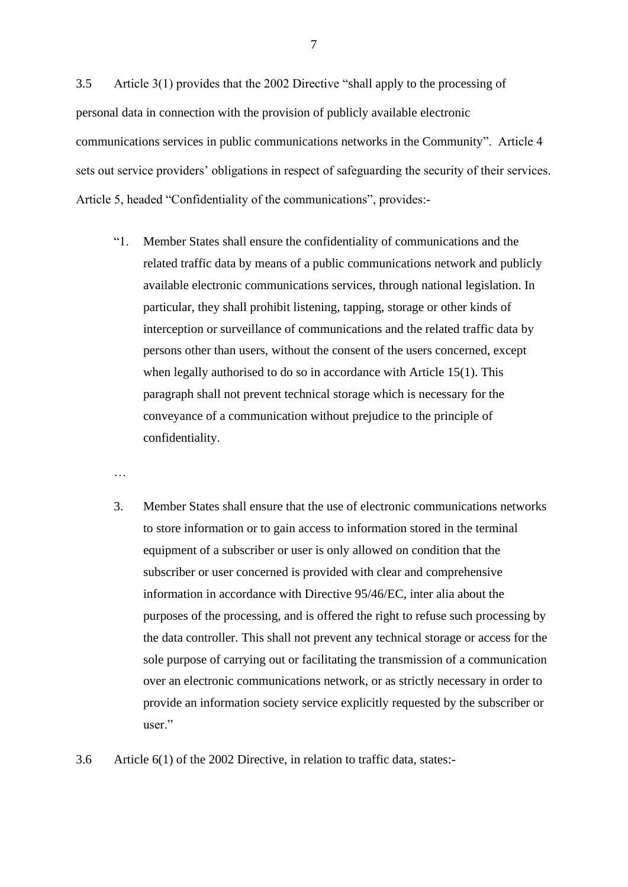3.5 Article 3(1) provides that the 2002 Directive "shall apply to the processing of personal data in connection with the provision of publicly available electronic communications services in public communications networks in the Community". Article 4 sets out service providers' obligations in respect of safeguarding the security of their services. Article 5, headed "Confidentiality of the communications", provides:-

- "1. Member States shall ensure the confidentiality of communications and the related traffic data by means of a public communications network and publicly available electronic communications services, through national legislation. In particular, they shall prohibit listening, tapping, storage or other kinds of interception or surveillance of communications and the related traffic data by persons other than users, without the consent of the users concerned, except when legally authorised to do so in accordance with Article 15(1). This paragraph shall not prevent technical storage which is necessary for the conveyance of a communication without prejudice to the principle of confidentiality.
- …
- 3. Member States shall ensure that the use of electronic communications networks to store information or to gain access to information stored in the terminal equipment of a subscriber or user is only allowed on condition that the subscriber or user concerned is provided with clear and comprehensive information in accordance with Directive 95/46/EC, inter alia about the purposes of the processing, and is offered the right to refuse such processing by the data controller. This shall not prevent any technical storage or access for the sole purpose of carrying out or facilitating the transmission of a communication over an electronic communications network, or as strictly necessary in order to provide an information society service explicitly requested by the subscriber or user."
- 3.6 Article 6(1) of the 2002 Directive, in relation to traffic data, states:-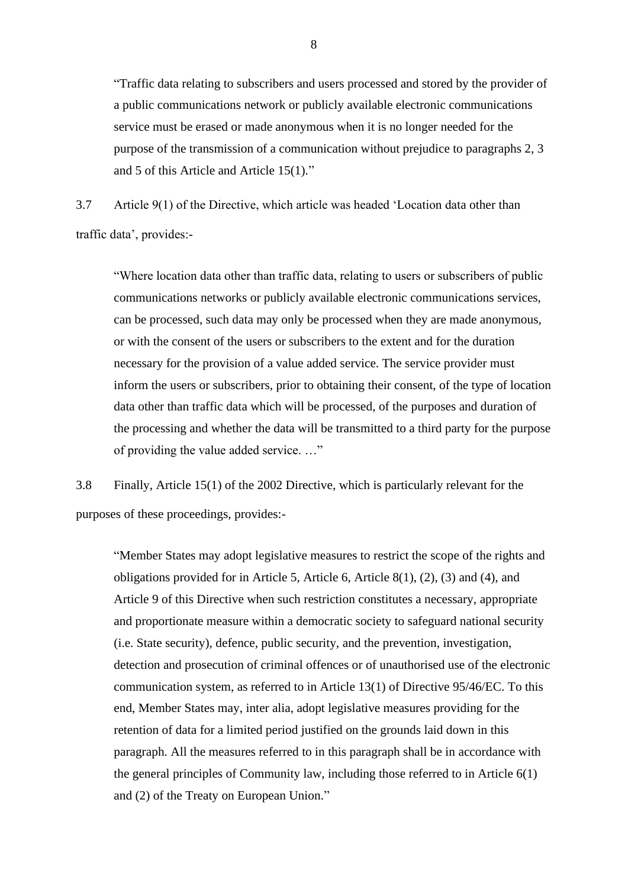"Traffic data relating to subscribers and users processed and stored by the provider of a public communications network or publicly available electronic communications service must be erased or made anonymous when it is no longer needed for the purpose of the transmission of a communication without prejudice to paragraphs 2, 3 and 5 of this Article and Article 15(1)."

3.7 Article 9(1) of the Directive, which article was headed 'Location data other than traffic data', provides:-

"Where location data other than traffic data, relating to users or subscribers of public communications networks or publicly available electronic communications services, can be processed, such data may only be processed when they are made anonymous, or with the consent of the users or subscribers to the extent and for the duration necessary for the provision of a value added service. The service provider must inform the users or subscribers, prior to obtaining their consent, of the type of location data other than traffic data which will be processed, of the purposes and duration of the processing and whether the data will be transmitted to a third party for the purpose of providing the value added service. …"

3.8 Finally, Article 15(1) of the 2002 Directive, which is particularly relevant for the purposes of these proceedings, provides:-

"Member States may adopt legislative measures to restrict the scope of the rights and obligations provided for in Article 5, Article 6, Article 8(1), (2), (3) and (4), and Article 9 of this Directive when such restriction constitutes a necessary, appropriate and proportionate measure within a democratic society to safeguard national security (i.e. State security), defence, public security, and the prevention, investigation, detection and prosecution of criminal offences or of unauthorised use of the electronic communication system, as referred to in Article 13(1) of Directive 95/46/EC. To this end, Member States may, inter alia, adopt legislative measures providing for the retention of data for a limited period justified on the grounds laid down in this paragraph. All the measures referred to in this paragraph shall be in accordance with the general principles of Community law, including those referred to in Article 6(1) and (2) of the Treaty on European Union."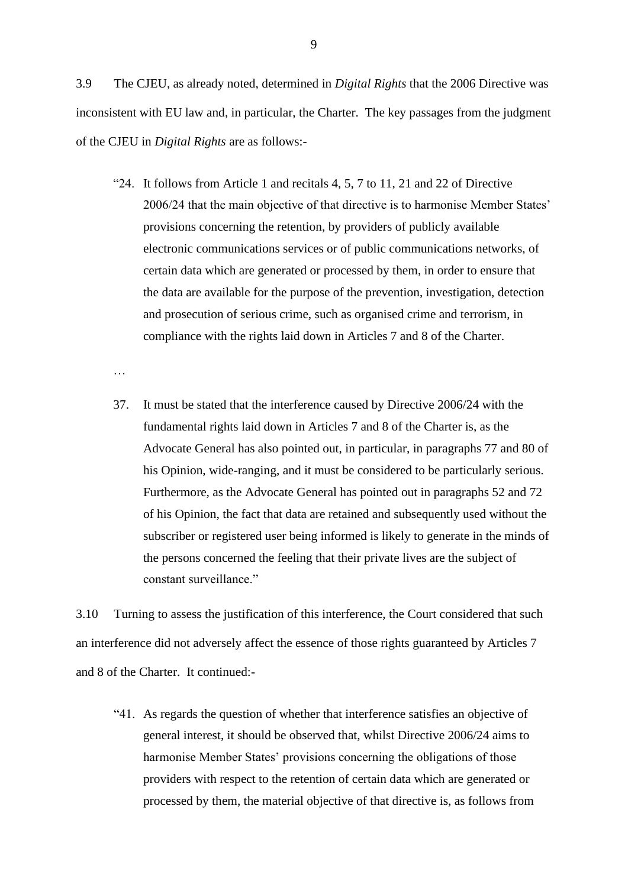3.9 The CJEU, as already noted, determined in *Digital Rights* that the 2006 Directive was inconsistent with EU law and, in particular, the Charter. The key passages from the judgment of the CJEU in *Digital Rights* are as follows:-

"24. It follows from Article 1 and recitals 4, 5, 7 to 11, 21 and 22 of Directive 2006/24 that the main objective of that directive is to harmonise Member States' provisions concerning the retention, by providers of publicly available electronic communications services or of public communications networks, of certain data which are generated or processed by them, in order to ensure that the data are available for the purpose of the prevention, investigation, detection and prosecution of serious crime, such as organised crime and terrorism, in compliance with the rights laid down in Articles 7 and 8 of the Charter.

…

37. It must be stated that the interference caused by Directive 2006/24 with the fundamental rights laid down in Articles 7 and 8 of the Charter is, as the Advocate General has also pointed out, in particular, in paragraphs 77 and 80 of his Opinion, wide-ranging, and it must be considered to be particularly serious. Furthermore, as the Advocate General has pointed out in paragraphs 52 and 72 of his Opinion, the fact that data are retained and subsequently used without the subscriber or registered user being informed is likely to generate in the minds of the persons concerned the feeling that their private lives are the subject of constant surveillance."

3.10 Turning to assess the justification of this interference, the Court considered that such an interference did not adversely affect the essence of those rights guaranteed by Articles 7 and 8 of the Charter. It continued:-

"41. As regards the question of whether that interference satisfies an objective of general interest, it should be observed that, whilst Directive 2006/24 aims to harmonise Member States' provisions concerning the obligations of those providers with respect to the retention of certain data which are generated or processed by them, the material objective of that directive is, as follows from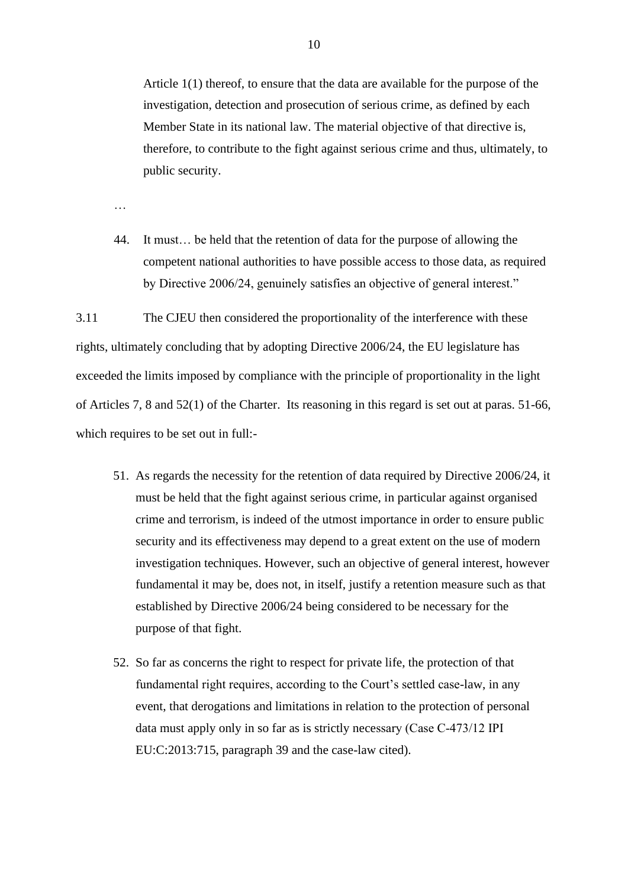Article 1(1) thereof, to ensure that the data are available for the purpose of the investigation, detection and prosecution of serious crime, as defined by each Member State in its national law. The material objective of that directive is, therefore, to contribute to the fight against serious crime and thus, ultimately, to public security.

…

44. It must… be held that the retention of data for the purpose of allowing the competent national authorities to have possible access to those data, as required by Directive 2006/24, genuinely satisfies an objective of general interest."

3.11 The CJEU then considered the proportionality of the interference with these rights, ultimately concluding that by adopting Directive 2006/24, the EU legislature has exceeded the limits imposed by compliance with the principle of proportionality in the light of Articles 7, 8 and 52(1) of the Charter. Its reasoning in this regard is set out at paras. 51-66, which requires to be set out in full:-

- 51. As regards the necessity for the retention of data required by Directive 2006/24, it must be held that the fight against serious crime, in particular against organised crime and terrorism, is indeed of the utmost importance in order to ensure public security and its effectiveness may depend to a great extent on the use of modern investigation techniques. However, such an objective of general interest, however fundamental it may be, does not, in itself, justify a retention measure such as that established by Directive 2006/24 being considered to be necessary for the purpose of that fight.
- 52. So far as concerns the right to respect for private life, the protection of that fundamental right requires, according to the Court's settled case-law, in any event, that derogations and limitations in relation to the protection of personal data must apply only in so far as is strictly necessary (Case C-473/12 IPI) EU:C:2013:715, paragraph 39 and the case-law cited).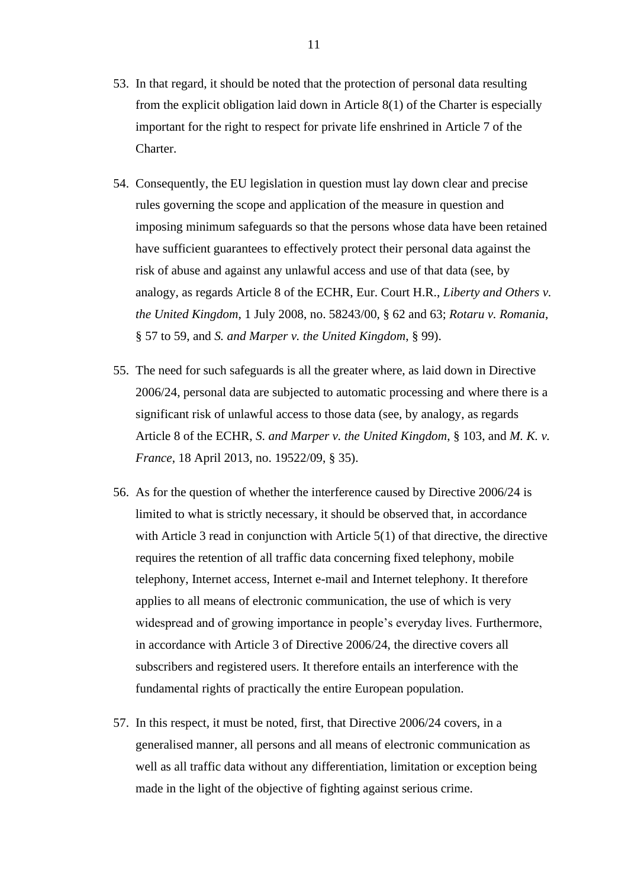- 53. In that regard, it should be noted that the protection of personal data resulting from the explicit obligation laid down in Article 8(1) of the Charter is especially important for the right to respect for private life enshrined in Article 7 of the Charter.
- 54. Consequently, the EU legislation in question must lay down clear and precise rules governing the scope and application of the measure in question and imposing minimum safeguards so that the persons whose data have been retained have sufficient guarantees to effectively protect their personal data against the risk of abuse and against any unlawful access and use of that data (see, by analogy, as regards Article 8 of the ECHR, Eur. Court H.R., *Liberty and Others v. the United Kingdom*, 1 July 2008, no. 58243/00, § 62 and 63; *Rotaru v. Romania*, § 57 to 59, and *S. and Marper v. the United Kingdom*, § 99).
- 55. The need for such safeguards is all the greater where, as laid down in Directive 2006/24, personal data are subjected to automatic processing and where there is a significant risk of unlawful access to those data (see, by analogy, as regards Article 8 of the ECHR, *S. and Marper v. the United Kingdom*, § 103, and *M. K. v. France*, 18 April 2013, no. 19522/09, § 35).
- 56. As for the question of whether the interference caused by Directive 2006/24 is limited to what is strictly necessary, it should be observed that, in accordance with Article 3 read in conjunction with Article 5(1) of that directive, the directive requires the retention of all traffic data concerning fixed telephony, mobile telephony, Internet access, Internet e-mail and Internet telephony. It therefore applies to all means of electronic communication, the use of which is very widespread and of growing importance in people's everyday lives. Furthermore, in accordance with Article 3 of Directive 2006/24, the directive covers all subscribers and registered users. It therefore entails an interference with the fundamental rights of practically the entire European population.
- 57. In this respect, it must be noted, first, that Directive 2006/24 covers, in a generalised manner, all persons and all means of electronic communication as well as all traffic data without any differentiation, limitation or exception being made in the light of the objective of fighting against serious crime.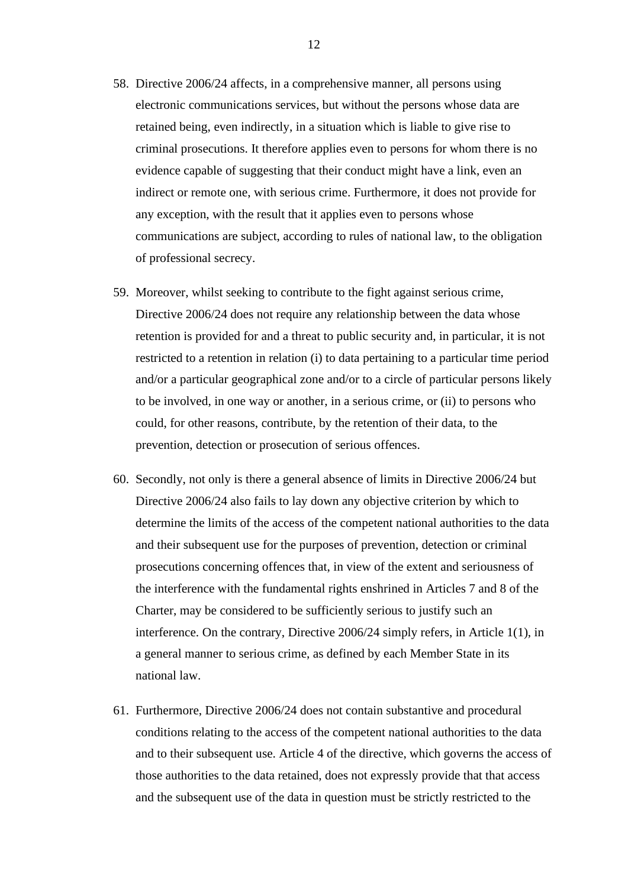- 58. Directive 2006/24 affects, in a comprehensive manner, all persons using electronic communications services, but without the persons whose data are retained being, even indirectly, in a situation which is liable to give rise to criminal prosecutions. It therefore applies even to persons for whom there is no evidence capable of suggesting that their conduct might have a link, even an indirect or remote one, with serious crime. Furthermore, it does not provide for any exception, with the result that it applies even to persons whose communications are subject, according to rules of national law, to the obligation of professional secrecy.
- 59. Moreover, whilst seeking to contribute to the fight against serious crime, Directive 2006/24 does not require any relationship between the data whose retention is provided for and a threat to public security and, in particular, it is not restricted to a retention in relation (i) to data pertaining to a particular time period and/or a particular geographical zone and/or to a circle of particular persons likely to be involved, in one way or another, in a serious crime, or (ii) to persons who could, for other reasons, contribute, by the retention of their data, to the prevention, detection or prosecution of serious offences.
- 60. Secondly, not only is there a general absence of limits in Directive 2006/24 but Directive 2006/24 also fails to lay down any objective criterion by which to determine the limits of the access of the competent national authorities to the data and their subsequent use for the purposes of prevention, detection or criminal prosecutions concerning offences that, in view of the extent and seriousness of the interference with the fundamental rights enshrined in Articles 7 and 8 of the Charter, may be considered to be sufficiently serious to justify such an interference. On the contrary, Directive 2006/24 simply refers, in Article 1(1), in a general manner to serious crime, as defined by each Member State in its national law.
- 61. Furthermore, Directive 2006/24 does not contain substantive and procedural conditions relating to the access of the competent national authorities to the data and to their subsequent use. Article 4 of the directive, which governs the access of those authorities to the data retained, does not expressly provide that that access and the subsequent use of the data in question must be strictly restricted to the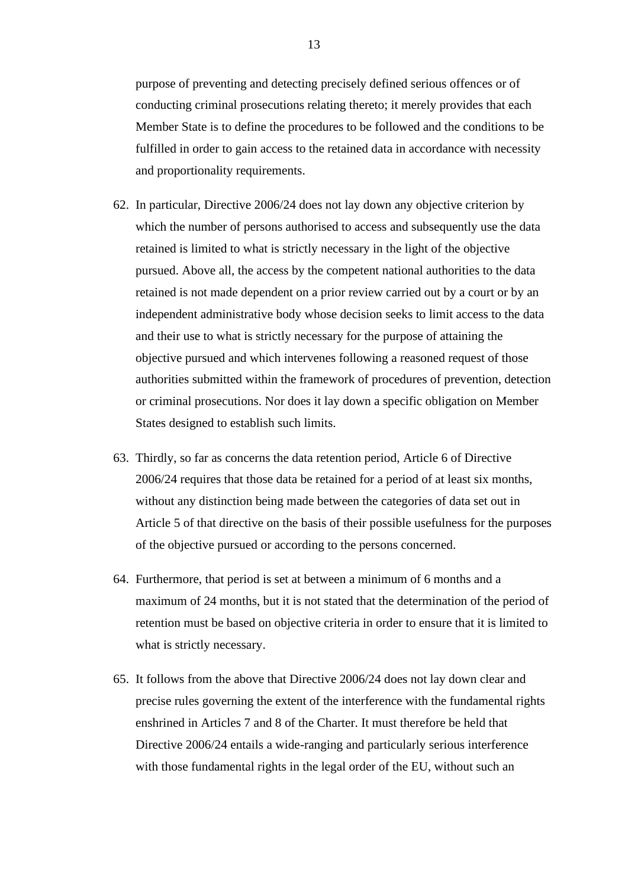purpose of preventing and detecting precisely defined serious offences or of conducting criminal prosecutions relating thereto; it merely provides that each Member State is to define the procedures to be followed and the conditions to be fulfilled in order to gain access to the retained data in accordance with necessity and proportionality requirements.

- 62. In particular, Directive 2006/24 does not lay down any objective criterion by which the number of persons authorised to access and subsequently use the data retained is limited to what is strictly necessary in the light of the objective pursued. Above all, the access by the competent national authorities to the data retained is not made dependent on a prior review carried out by a court or by an independent administrative body whose decision seeks to limit access to the data and their use to what is strictly necessary for the purpose of attaining the objective pursued and which intervenes following a reasoned request of those authorities submitted within the framework of procedures of prevention, detection or criminal prosecutions. Nor does it lay down a specific obligation on Member States designed to establish such limits.
- 63. Thirdly, so far as concerns the data retention period, Article 6 of Directive 2006/24 requires that those data be retained for a period of at least six months, without any distinction being made between the categories of data set out in Article 5 of that directive on the basis of their possible usefulness for the purposes of the objective pursued or according to the persons concerned.
- 64. Furthermore, that period is set at between a minimum of 6 months and a maximum of 24 months, but it is not stated that the determination of the period of retention must be based on objective criteria in order to ensure that it is limited to what is strictly necessary.
- 65. It follows from the above that Directive 2006/24 does not lay down clear and precise rules governing the extent of the interference with the fundamental rights enshrined in Articles 7 and 8 of the Charter. It must therefore be held that Directive 2006/24 entails a wide-ranging and particularly serious interference with those fundamental rights in the legal order of the EU, without such an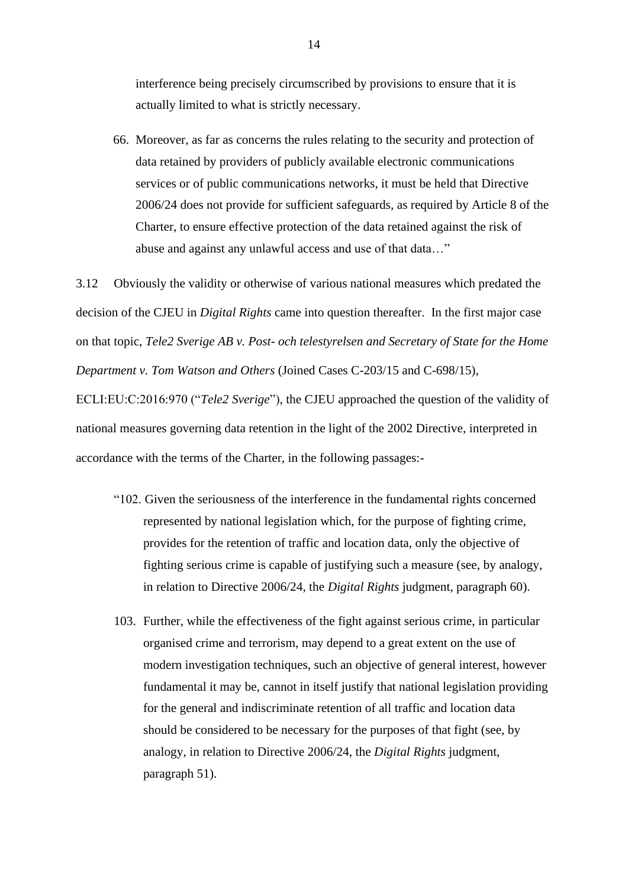interference being precisely circumscribed by provisions to ensure that it is actually limited to what is strictly necessary.

66. Moreover, as far as concerns the rules relating to the security and protection of data retained by providers of publicly available electronic communications services or of public communications networks, it must be held that Directive 2006/24 does not provide for sufficient safeguards, as required by Article 8 of the Charter, to ensure effective protection of the data retained against the risk of abuse and against any unlawful access and use of that data…"

3.12 Obviously the validity or otherwise of various national measures which predated the decision of the CJEU in *Digital Rights* came into question thereafter. In the first major case on that topic, *Tele2 Sverige AB v. Post- och telestyrelsen and Secretary of State for the Home Department v. Tom Watson and Others* (Joined Cases C-203/15 and C-698/15), ECLI:EU:C:2016:970 ("*Tele2 Sverige*"), the CJEU approached the question of the validity of national measures governing data retention in the light of the 2002 Directive, interpreted in accordance with the terms of the Charter, in the following passages:-

- "102. Given the seriousness of the interference in the fundamental rights concerned represented by national legislation which, for the purpose of fighting crime, provides for the retention of traffic and location data, only the objective of fighting serious crime is capable of justifying such a measure (see, by analogy, in relation to Directive 2006/24, the *Digital Rights* judgment, paragraph 60).
- 103. Further, while the effectiveness of the fight against serious crime, in particular organised crime and terrorism, may depend to a great extent on the use of modern investigation techniques, such an objective of general interest, however fundamental it may be, cannot in itself justify that national legislation providing for the general and indiscriminate retention of all traffic and location data should be considered to be necessary for the purposes of that fight (see, by analogy, in relation to Directive 2006/24, the *Digital Rights* judgment, paragraph 51).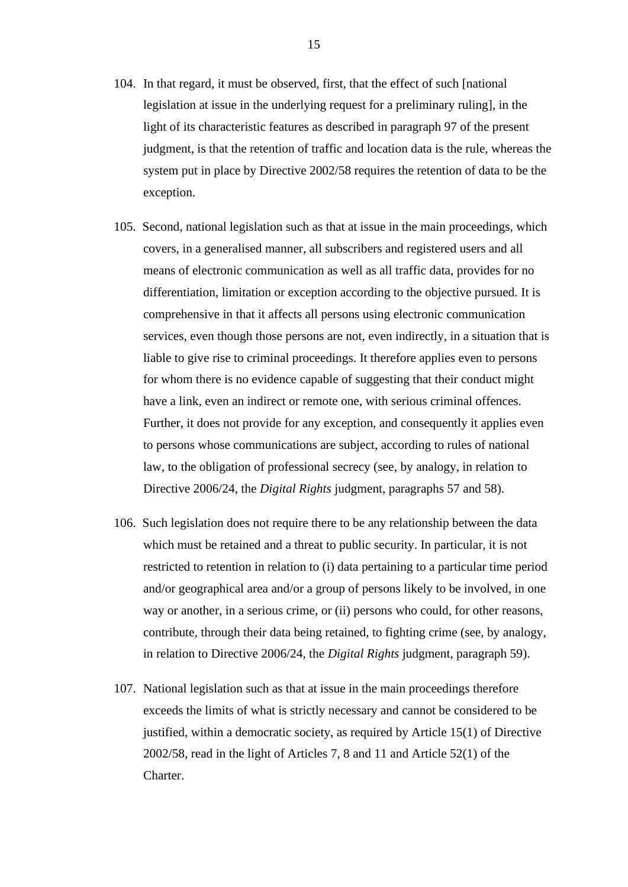- 104. In that regard, it must be observed, first, that the effect of such [national legislation at issue in the underlying request for a preliminary ruling], in the light of its characteristic features as described in paragraph 97 of the present judgment, is that the retention of traffic and location data is the rule, whereas the system put in place by Directive 2002/58 requires the retention of data to be the exception.
- 105. Second, national legislation such as that at issue in the main proceedings, which covers, in a generalised manner, all subscribers and registered users and all means of electronic communication as well as all traffic data, provides for no differentiation, limitation or exception according to the objective pursued. It is comprehensive in that it affects all persons using electronic communication services, even though those persons are not, even indirectly, in a situation that is liable to give rise to criminal proceedings. It therefore applies even to persons for whom there is no evidence capable of suggesting that their conduct might have a link, even an indirect or remote one, with serious criminal offences. Further, it does not provide for any exception, and consequently it applies even to persons whose communications are subject, according to rules of national law, to the obligation of professional secrecy (see, by analogy, in relation to Directive 2006/24, the *Digital Rights* judgment, paragraphs 57 and 58).
- 106. Such legislation does not require there to be any relationship between the data which must be retained and a threat to public security. In particular, it is not restricted to retention in relation to (i) data pertaining to a particular time period and/or geographical area and/or a group of persons likely to be involved, in one way or another, in a serious crime, or (ii) persons who could, for other reasons, contribute, through their data being retained, to fighting crime (see, by analogy, in relation to Directive 2006/24, the *Digital Rights* judgment, paragraph 59).
- 107. National legislation such as that at issue in the main proceedings therefore exceeds the limits of what is strictly necessary and cannot be considered to be justified, within a democratic society, as required by Article 15(1) of Directive 2002/58, read in the light of Articles 7, 8 and 11 and Article 52(1) of the Charter.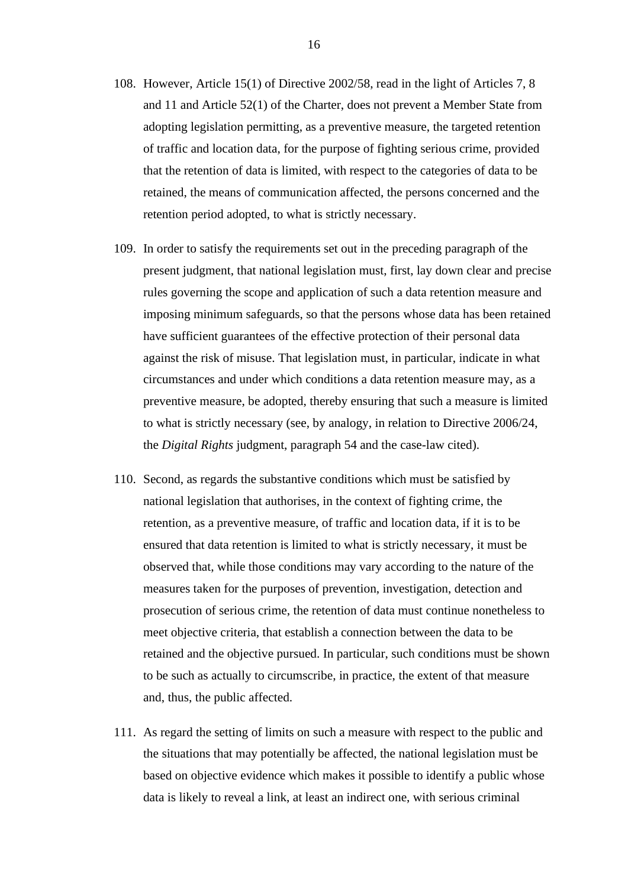- 108. However, Article 15(1) of Directive 2002/58, read in the light of Articles 7, 8 and 11 and Article 52(1) of the Charter, does not prevent a Member State from adopting legislation permitting, as a preventive measure, the targeted retention of traffic and location data, for the purpose of fighting serious crime, provided that the retention of data is limited, with respect to the categories of data to be retained, the means of communication affected, the persons concerned and the retention period adopted, to what is strictly necessary.
- 109. In order to satisfy the requirements set out in the preceding paragraph of the present judgment, that national legislation must, first, lay down clear and precise rules governing the scope and application of such a data retention measure and imposing minimum safeguards, so that the persons whose data has been retained have sufficient guarantees of the effective protection of their personal data against the risk of misuse. That legislation must, in particular, indicate in what circumstances and under which conditions a data retention measure may, as a preventive measure, be adopted, thereby ensuring that such a measure is limited to what is strictly necessary (see, by analogy, in relation to Directive 2006/24, the *Digital Rights* judgment, paragraph 54 and the case-law cited).
- 110. Second, as regards the substantive conditions which must be satisfied by national legislation that authorises, in the context of fighting crime, the retention, as a preventive measure, of traffic and location data, if it is to be ensured that data retention is limited to what is strictly necessary, it must be observed that, while those conditions may vary according to the nature of the measures taken for the purposes of prevention, investigation, detection and prosecution of serious crime, the retention of data must continue nonetheless to meet objective criteria, that establish a connection between the data to be retained and the objective pursued. In particular, such conditions must be shown to be such as actually to circumscribe, in practice, the extent of that measure and, thus, the public affected.
- 111. As regard the setting of limits on such a measure with respect to the public and the situations that may potentially be affected, the national legislation must be based on objective evidence which makes it possible to identify a public whose data is likely to reveal a link, at least an indirect one, with serious criminal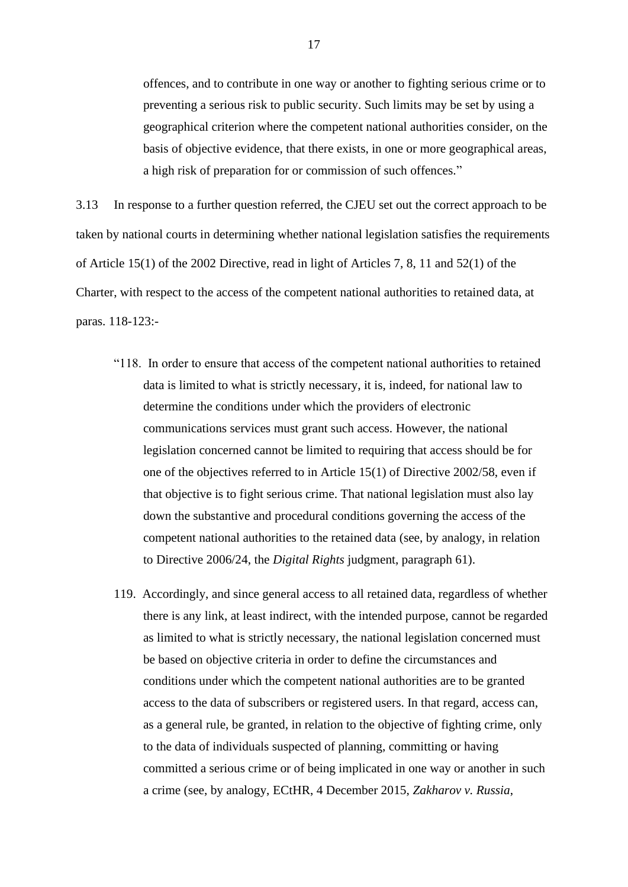offences, and to contribute in one way or another to fighting serious crime or to preventing a serious risk to public security. Such limits may be set by using a geographical criterion where the competent national authorities consider, on the basis of objective evidence, that there exists, in one or more geographical areas, a high risk of preparation for or commission of such offences."

3.13 In response to a further question referred, the CJEU set out the correct approach to be taken by national courts in determining whether national legislation satisfies the requirements of Article 15(1) of the 2002 Directive, read in light of Articles 7, 8, 11 and 52(1) of the Charter, with respect to the access of the competent national authorities to retained data, at paras. 118-123:-

- "118. In order to ensure that access of the competent national authorities to retained data is limited to what is strictly necessary, it is, indeed, for national law to determine the conditions under which the providers of electronic communications services must grant such access. However, the national legislation concerned cannot be limited to requiring that access should be for one of the objectives referred to in Article 15(1) of Directive 2002/58, even if that objective is to fight serious crime. That national legislation must also lay down the substantive and procedural conditions governing the access of the competent national authorities to the retained data (see, by analogy, in relation to Directive 2006/24, the *Digital Rights* judgment, paragraph 61).
- 119. Accordingly, and since general access to all retained data, regardless of whether there is any link, at least indirect, with the intended purpose, cannot be regarded as limited to what is strictly necessary, the national legislation concerned must be based on objective criteria in order to define the circumstances and conditions under which the competent national authorities are to be granted access to the data of subscribers or registered users. In that regard, access can, as a general rule, be granted, in relation to the objective of fighting crime, only to the data of individuals suspected of planning, committing or having committed a serious crime or of being implicated in one way or another in such a crime (see, by analogy, ECtHR, 4 December 2015, *Zakharov v. Russia*,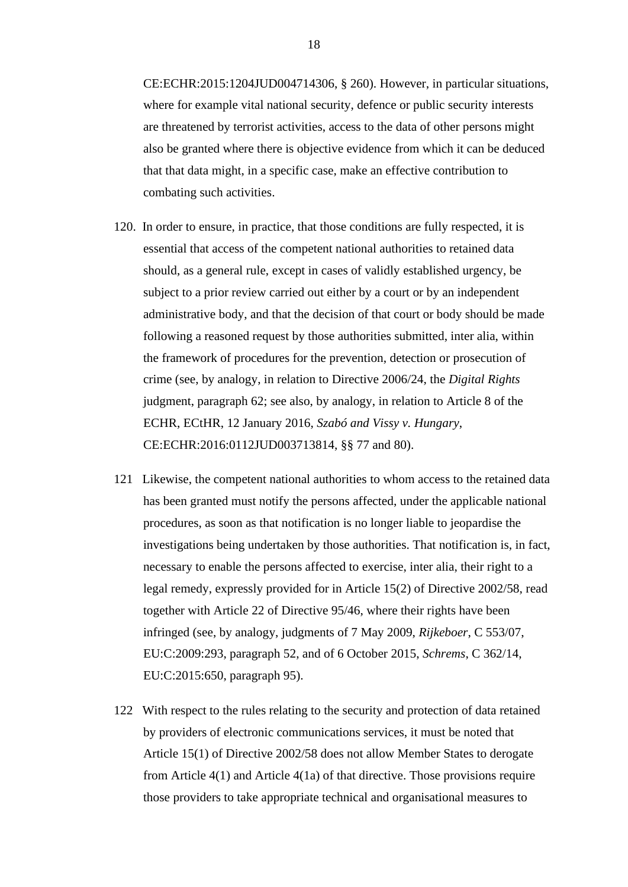CE:ECHR:2015:1204JUD004714306, § 260). However, in particular situations, where for example vital national security, defence or public security interests are threatened by terrorist activities, access to the data of other persons might also be granted where there is objective evidence from which it can be deduced that that data might, in a specific case, make an effective contribution to combating such activities.

- 120. In order to ensure, in practice, that those conditions are fully respected, it is essential that access of the competent national authorities to retained data should, as a general rule, except in cases of validly established urgency, be subject to a prior review carried out either by a court or by an independent administrative body, and that the decision of that court or body should be made following a reasoned request by those authorities submitted, inter alia, within the framework of procedures for the prevention, detection or prosecution of crime (see, by analogy, in relation to Directive 2006/24, the *Digital Rights* judgment, paragraph 62; see also, by analogy, in relation to Article 8 of the ECHR, ECtHR, 12 January 2016, *Szabó and Vissy v. Hungary*, CE:ECHR:2016:0112JUD003713814, §§ 77 and 80).
- 121 Likewise, the competent national authorities to whom access to the retained data has been granted must notify the persons affected, under the applicable national procedures, as soon as that notification is no longer liable to jeopardise the investigations being undertaken by those authorities. That notification is, in fact, necessary to enable the persons affected to exercise, inter alia, their right to a legal remedy, expressly provided for in Article 15(2) of Directive 2002/58, read together with Article 22 of Directive 95/46, where their rights have been infringed (see, by analogy, judgments of 7 May 2009, *Rijkeboer*, C 553/07, EU:C:2009:293, paragraph 52, and of 6 October 2015, *Schrems*, C 362/14, EU:C:2015:650, paragraph 95).
- 122 With respect to the rules relating to the security and protection of data retained by providers of electronic communications services, it must be noted that Article 15(1) of Directive 2002/58 does not allow Member States to derogate from Article 4(1) and Article 4(1a) of that directive. Those provisions require those providers to take appropriate technical and organisational measures to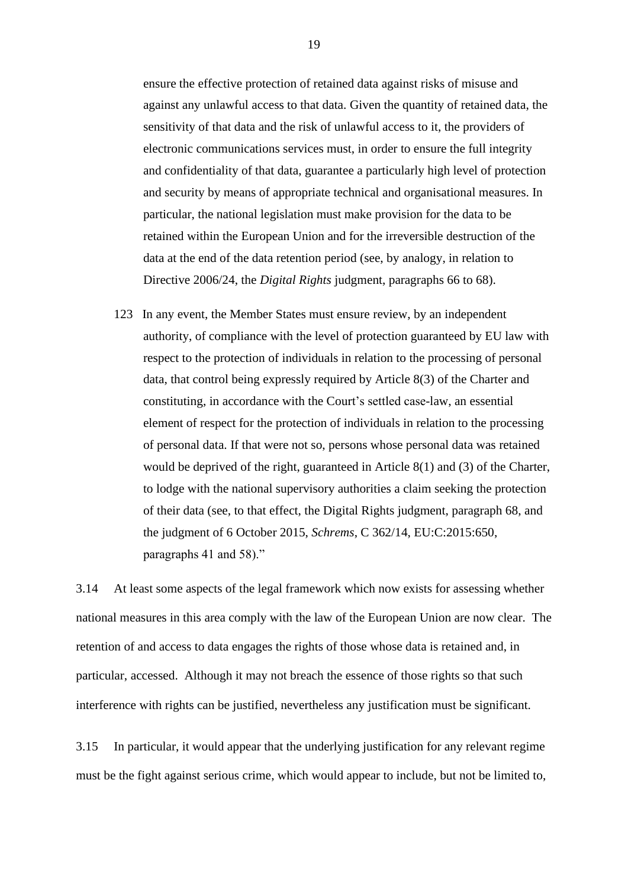ensure the effective protection of retained data against risks of misuse and against any unlawful access to that data. Given the quantity of retained data, the sensitivity of that data and the risk of unlawful access to it, the providers of electronic communications services must, in order to ensure the full integrity and confidentiality of that data, guarantee a particularly high level of protection and security by means of appropriate technical and organisational measures. In particular, the national legislation must make provision for the data to be retained within the European Union and for the irreversible destruction of the data at the end of the data retention period (see, by analogy, in relation to Directive 2006/24, the *Digital Rights* judgment, paragraphs 66 to 68).

123 In any event, the Member States must ensure review, by an independent authority, of compliance with the level of protection guaranteed by EU law with respect to the protection of individuals in relation to the processing of personal data, that control being expressly required by Article 8(3) of the Charter and constituting, in accordance with the Court's settled case-law, an essential element of respect for the protection of individuals in relation to the processing of personal data. If that were not so, persons whose personal data was retained would be deprived of the right, guaranteed in Article 8(1) and (3) of the Charter, to lodge with the national supervisory authorities a claim seeking the protection of their data (see, to that effect, the Digital Rights judgment, paragraph 68, and the judgment of 6 October 2015, *Schrems*, C 362/14, EU:C:2015:650, paragraphs 41 and 58)."

3.14 At least some aspects of the legal framework which now exists for assessing whether national measures in this area comply with the law of the European Union are now clear. The retention of and access to data engages the rights of those whose data is retained and, in particular, accessed. Although it may not breach the essence of those rights so that such interference with rights can be justified, nevertheless any justification must be significant.

3.15 In particular, it would appear that the underlying justification for any relevant regime must be the fight against serious crime, which would appear to include, but not be limited to,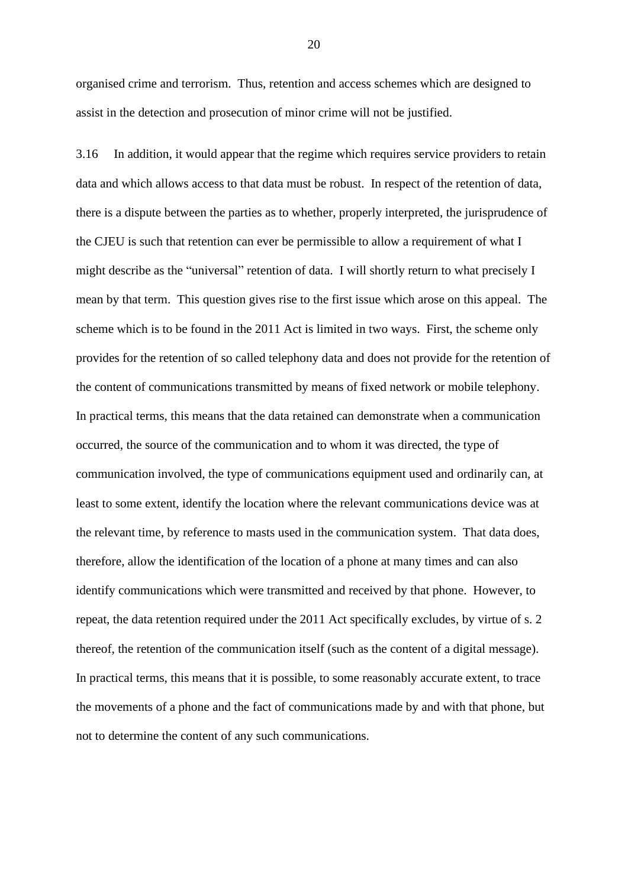organised crime and terrorism. Thus, retention and access schemes which are designed to assist in the detection and prosecution of minor crime will not be justified.

3.16 In addition, it would appear that the regime which requires service providers to retain data and which allows access to that data must be robust. In respect of the retention of data, there is a dispute between the parties as to whether, properly interpreted, the jurisprudence of the CJEU is such that retention can ever be permissible to allow a requirement of what I might describe as the "universal" retention of data. I will shortly return to what precisely I mean by that term. This question gives rise to the first issue which arose on this appeal. The scheme which is to be found in the 2011 Act is limited in two ways. First, the scheme only provides for the retention of so called telephony data and does not provide for the retention of the content of communications transmitted by means of fixed network or mobile telephony. In practical terms, this means that the data retained can demonstrate when a communication occurred, the source of the communication and to whom it was directed, the type of communication involved, the type of communications equipment used and ordinarily can, at least to some extent, identify the location where the relevant communications device was at the relevant time, by reference to masts used in the communication system. That data does, therefore, allow the identification of the location of a phone at many times and can also identify communications which were transmitted and received by that phone. However, to repeat, the data retention required under the 2011 Act specifically excludes, by virtue of s. 2 thereof, the retention of the communication itself (such as the content of a digital message). In practical terms, this means that it is possible, to some reasonably accurate extent, to trace the movements of a phone and the fact of communications made by and with that phone, but not to determine the content of any such communications.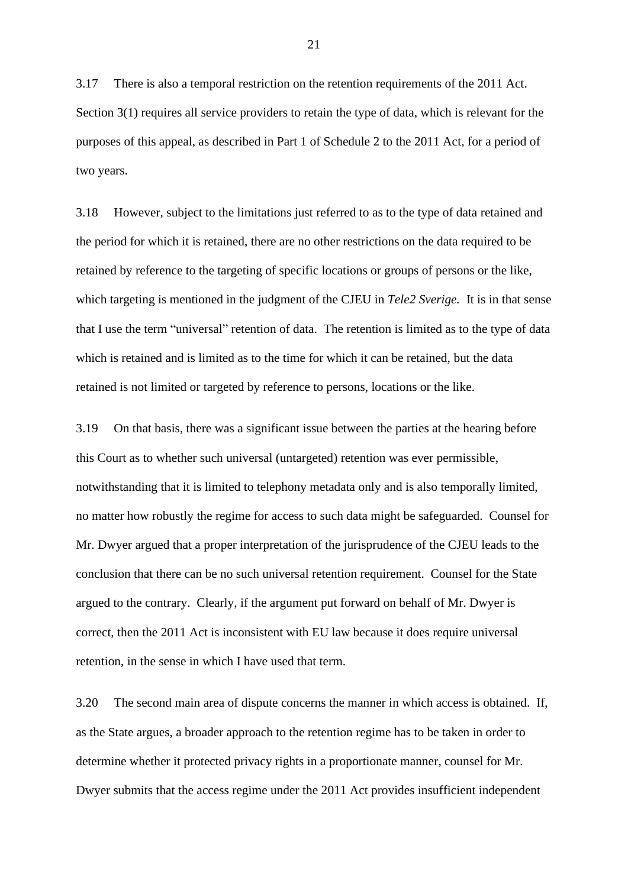3.17 There is also a temporal restriction on the retention requirements of the 2011 Act. Section 3(1) requires all service providers to retain the type of data, which is relevant for the purposes of this appeal, as described in Part 1 of Schedule 2 to the 2011 Act, for a period of two years.

3.18 However, subject to the limitations just referred to as to the type of data retained and the period for which it is retained, there are no other restrictions on the data required to be retained by reference to the targeting of specific locations or groups of persons or the like, which targeting is mentioned in the judgment of the CJEU in *Tele2 Sverige.* It is in that sense that I use the term "universal" retention of data. The retention is limited as to the type of data which is retained and is limited as to the time for which it can be retained, but the data retained is not limited or targeted by reference to persons, locations or the like.

3.19 On that basis, there was a significant issue between the parties at the hearing before this Court as to whether such universal (untargeted) retention was ever permissible, notwithstanding that it is limited to telephony metadata only and is also temporally limited, no matter how robustly the regime for access to such data might be safeguarded. Counsel for Mr. Dwyer argued that a proper interpretation of the jurisprudence of the CJEU leads to the conclusion that there can be no such universal retention requirement. Counsel for the State argued to the contrary. Clearly, if the argument put forward on behalf of Mr. Dwyer is correct, then the 2011 Act is inconsistent with EU law because it does require universal retention, in the sense in which I have used that term.

3.20 The second main area of dispute concerns the manner in which access is obtained. If, as the State argues, a broader approach to the retention regime has to be taken in order to determine whether it protected privacy rights in a proportionate manner, counsel for Mr. Dwyer submits that the access regime under the 2011 Act provides insufficient independent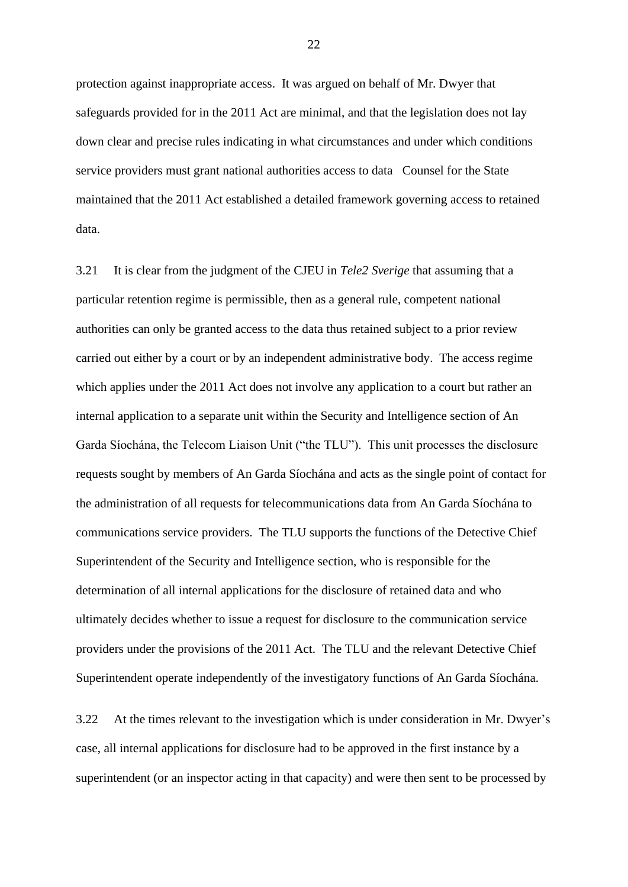protection against inappropriate access. It was argued on behalf of Mr. Dwyer that safeguards provided for in the 2011 Act are minimal, and that the legislation does not lay down clear and precise rules indicating in what circumstances and under which conditions service providers must grant national authorities access to data Counsel for the State maintained that the 2011 Act established a detailed framework governing access to retained data.

3.21 It is clear from the judgment of the CJEU in *Tele2 Sverige* that assuming that a particular retention regime is permissible, then as a general rule, competent national authorities can only be granted access to the data thus retained subject to a prior review carried out either by a court or by an independent administrative body. The access regime which applies under the 2011 Act does not involve any application to a court but rather an internal application to a separate unit within the Security and Intelligence section of An Garda Síochána, the Telecom Liaison Unit ("the TLU"). This unit processes the disclosure requests sought by members of An Garda Síochána and acts as the single point of contact for the administration of all requests for telecommunications data from An Garda Síochána to communications service providers. The TLU supports the functions of the Detective Chief Superintendent of the Security and Intelligence section, who is responsible for the determination of all internal applications for the disclosure of retained data and who ultimately decides whether to issue a request for disclosure to the communication service providers under the provisions of the 2011 Act. The TLU and the relevant Detective Chief Superintendent operate independently of the investigatory functions of An Garda Síochána.

3.22 At the times relevant to the investigation which is under consideration in Mr. Dwyer's case, all internal applications for disclosure had to be approved in the first instance by a superintendent (or an inspector acting in that capacity) and were then sent to be processed by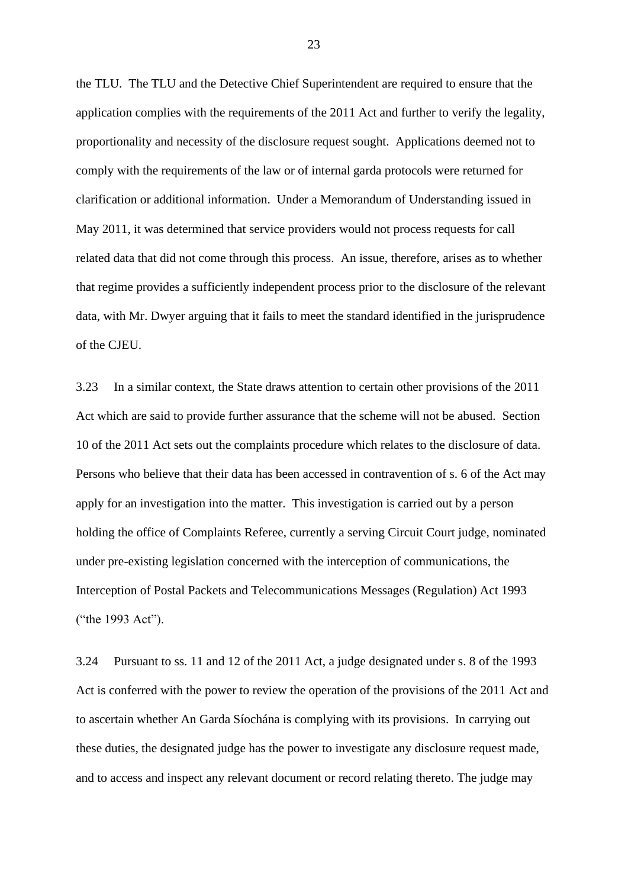the TLU. The TLU and the Detective Chief Superintendent are required to ensure that the application complies with the requirements of the 2011 Act and further to verify the legality, proportionality and necessity of the disclosure request sought. Applications deemed not to comply with the requirements of the law or of internal garda protocols were returned for clarification or additional information. Under a Memorandum of Understanding issued in May 2011, it was determined that service providers would not process requests for call related data that did not come through this process. An issue, therefore, arises as to whether that regime provides a sufficiently independent process prior to the disclosure of the relevant data, with Mr. Dwyer arguing that it fails to meet the standard identified in the jurisprudence of the CJEU.

3.23 In a similar context, the State draws attention to certain other provisions of the 2011 Act which are said to provide further assurance that the scheme will not be abused. Section 10 of the 2011 Act sets out the complaints procedure which relates to the disclosure of data. Persons who believe that their data has been accessed in contravention of s. 6 of the Act may apply for an investigation into the matter. This investigation is carried out by a person holding the office of Complaints Referee, currently a serving Circuit Court judge, nominated under pre-existing legislation concerned with the interception of communications, the Interception of Postal Packets and Telecommunications Messages (Regulation) Act 1993 ("the 1993 Act").

3.24 Pursuant to ss. 11 and 12 of the 2011 Act, a judge designated under s. 8 of the 1993 Act is conferred with the power to review the operation of the provisions of the 2011 Act and to ascertain whether An Garda Síochána is complying with its provisions. In carrying out these duties, the designated judge has the power to investigate any disclosure request made, and to access and inspect any relevant document or record relating thereto. The judge may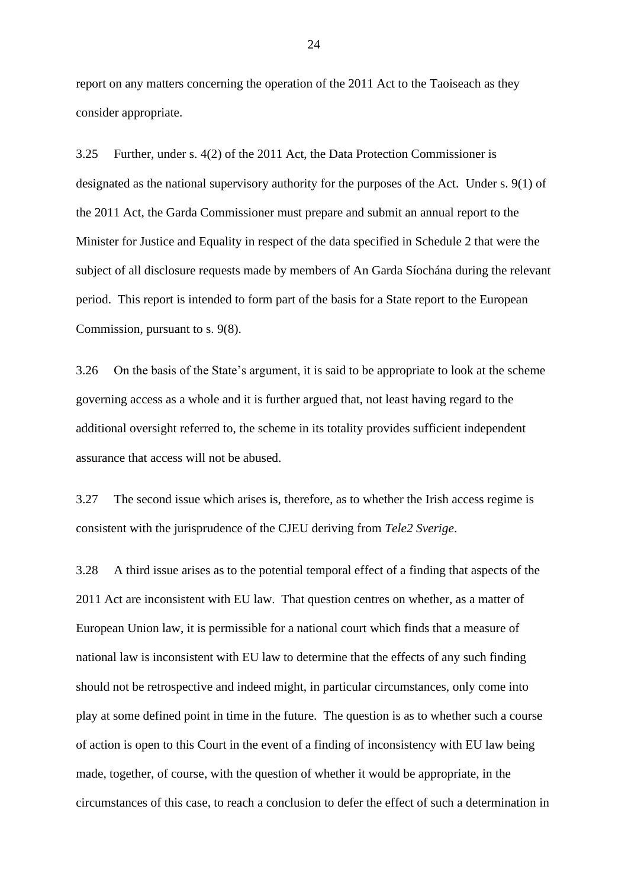report on any matters concerning the operation of the 2011 Act to the Taoiseach as they consider appropriate.

3.25 Further, under s. 4(2) of the 2011 Act, the Data Protection Commissioner is designated as the national supervisory authority for the purposes of the Act. Under s. 9(1) of the 2011 Act, the Garda Commissioner must prepare and submit an annual report to the Minister for Justice and Equality in respect of the data specified in Schedule 2 that were the subject of all disclosure requests made by members of An Garda Síochána during the relevant period. This report is intended to form part of the basis for a State report to the European Commission, pursuant to s. 9(8).

3.26 On the basis of the State's argument, it is said to be appropriate to look at the scheme governing access as a whole and it is further argued that, not least having regard to the additional oversight referred to, the scheme in its totality provides sufficient independent assurance that access will not be abused.

3.27 The second issue which arises is, therefore, as to whether the Irish access regime is consistent with the jurisprudence of the CJEU deriving from *Tele2 Sverige*.

3.28 A third issue arises as to the potential temporal effect of a finding that aspects of the 2011 Act are inconsistent with EU law. That question centres on whether, as a matter of European Union law, it is permissible for a national court which finds that a measure of national law is inconsistent with EU law to determine that the effects of any such finding should not be retrospective and indeed might, in particular circumstances, only come into play at some defined point in time in the future. The question is as to whether such a course of action is open to this Court in the event of a finding of inconsistency with EU law being made, together, of course, with the question of whether it would be appropriate, in the circumstances of this case, to reach a conclusion to defer the effect of such a determination in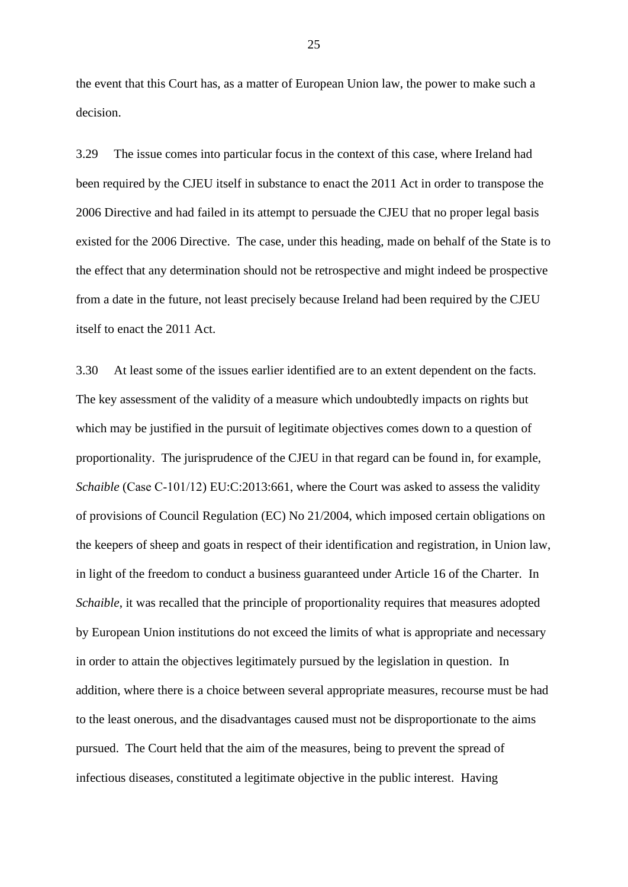the event that this Court has, as a matter of European Union law, the power to make such a decision.

3.29 The issue comes into particular focus in the context of this case, where Ireland had been required by the CJEU itself in substance to enact the 2011 Act in order to transpose the 2006 Directive and had failed in its attempt to persuade the CJEU that no proper legal basis existed for the 2006 Directive. The case, under this heading, made on behalf of the State is to the effect that any determination should not be retrospective and might indeed be prospective from a date in the future, not least precisely because Ireland had been required by the CJEU itself to enact the 2011 Act.

3.30 At least some of the issues earlier identified are to an extent dependent on the facts. The key assessment of the validity of a measure which undoubtedly impacts on rights but which may be justified in the pursuit of legitimate objectives comes down to a question of proportionality. The jurisprudence of the CJEU in that regard can be found in, for example, *Schaible* (Case C-101/12) EU:C:2013:661, where the Court was asked to assess the validity of provisions of Council Regulation (EC) No 21/2004, which imposed certain obligations on the keepers of sheep and goats in respect of their identification and registration, in Union law, in light of the freedom to conduct a business guaranteed under Article 16 of the Charter. In *Schaible*, it was recalled that the principle of proportionality requires that measures adopted by European Union institutions do not exceed the limits of what is appropriate and necessary in order to attain the objectives legitimately pursued by the legislation in question. In addition, where there is a choice between several appropriate measures, recourse must be had to the least onerous, and the disadvantages caused must not be disproportionate to the aims pursued. The Court held that the aim of the measures, being to prevent the spread of infectious diseases, constituted a legitimate objective in the public interest. Having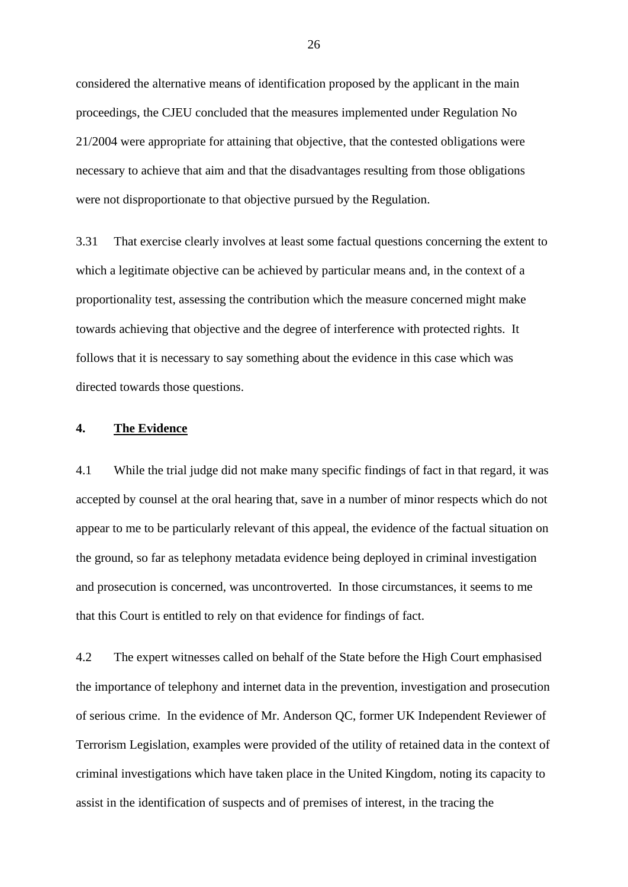considered the alternative means of identification proposed by the applicant in the main proceedings, the CJEU concluded that the measures implemented under Regulation No 21/2004 were appropriate for attaining that objective, that the contested obligations were necessary to achieve that aim and that the disadvantages resulting from those obligations were not disproportionate to that objective pursued by the Regulation.

3.31 That exercise clearly involves at least some factual questions concerning the extent to which a legitimate objective can be achieved by particular means and, in the context of a proportionality test, assessing the contribution which the measure concerned might make towards achieving that objective and the degree of interference with protected rights. It follows that it is necessary to say something about the evidence in this case which was directed towards those questions.

## **4. The Evidence**

4.1 While the trial judge did not make many specific findings of fact in that regard, it was accepted by counsel at the oral hearing that, save in a number of minor respects which do not appear to me to be particularly relevant of this appeal, the evidence of the factual situation on the ground, so far as telephony metadata evidence being deployed in criminal investigation and prosecution is concerned, was uncontroverted. In those circumstances, it seems to me that this Court is entitled to rely on that evidence for findings of fact.

4.2 The expert witnesses called on behalf of the State before the High Court emphasised the importance of telephony and internet data in the prevention, investigation and prosecution of serious crime. In the evidence of Mr. Anderson QC, former UK Independent Reviewer of Terrorism Legislation, examples were provided of the utility of retained data in the context of criminal investigations which have taken place in the United Kingdom, noting its capacity to assist in the identification of suspects and of premises of interest, in the tracing the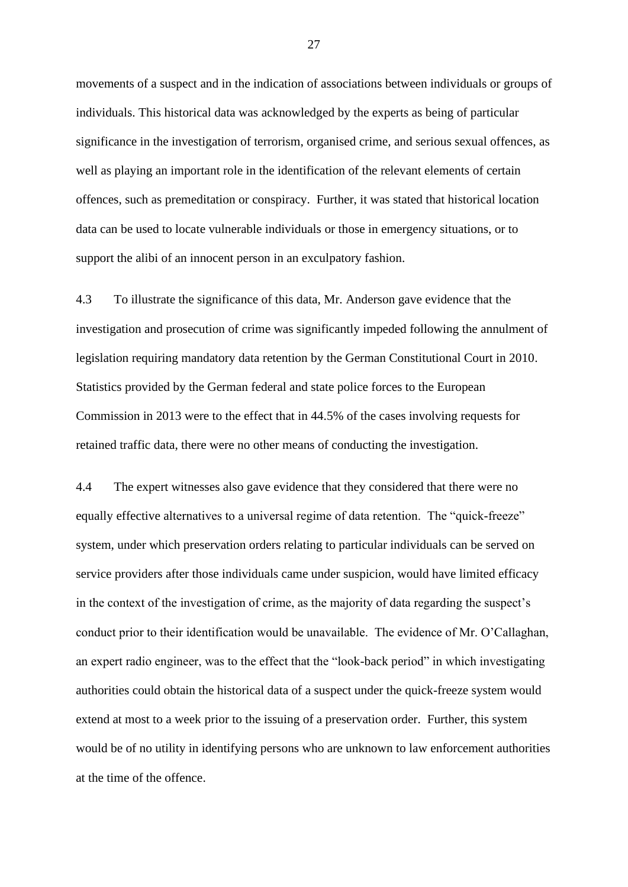movements of a suspect and in the indication of associations between individuals or groups of individuals. This historical data was acknowledged by the experts as being of particular significance in the investigation of terrorism, organised crime, and serious sexual offences, as well as playing an important role in the identification of the relevant elements of certain offences, such as premeditation or conspiracy. Further, it was stated that historical location data can be used to locate vulnerable individuals or those in emergency situations, or to support the alibi of an innocent person in an exculpatory fashion.

4.3 To illustrate the significance of this data, Mr. Anderson gave evidence that the investigation and prosecution of crime was significantly impeded following the annulment of legislation requiring mandatory data retention by the German Constitutional Court in 2010. Statistics provided by the German federal and state police forces to the European Commission in 2013 were to the effect that in 44.5% of the cases involving requests for retained traffic data, there were no other means of conducting the investigation.

4.4 The expert witnesses also gave evidence that they considered that there were no equally effective alternatives to a universal regime of data retention. The "quick-freeze" system, under which preservation orders relating to particular individuals can be served on service providers after those individuals came under suspicion, would have limited efficacy in the context of the investigation of crime, as the majority of data regarding the suspect's conduct prior to their identification would be unavailable. The evidence of Mr. O'Callaghan, an expert radio engineer, was to the effect that the "look-back period" in which investigating authorities could obtain the historical data of a suspect under the quick-freeze system would extend at most to a week prior to the issuing of a preservation order. Further, this system would be of no utility in identifying persons who are unknown to law enforcement authorities at the time of the offence.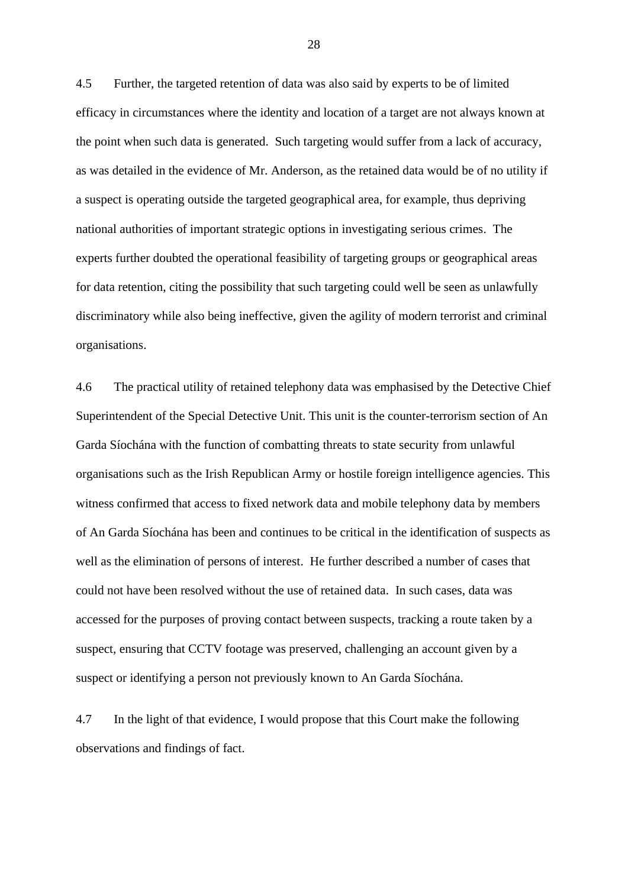4.5 Further, the targeted retention of data was also said by experts to be of limited efficacy in circumstances where the identity and location of a target are not always known at the point when such data is generated. Such targeting would suffer from a lack of accuracy, as was detailed in the evidence of Mr. Anderson, as the retained data would be of no utility if a suspect is operating outside the targeted geographical area, for example, thus depriving national authorities of important strategic options in investigating serious crimes. The experts further doubted the operational feasibility of targeting groups or geographical areas for data retention, citing the possibility that such targeting could well be seen as unlawfully discriminatory while also being ineffective, given the agility of modern terrorist and criminal organisations.

4.6 The practical utility of retained telephony data was emphasised by the Detective Chief Superintendent of the Special Detective Unit. This unit is the counter-terrorism section of An Garda Síochána with the function of combatting threats to state security from unlawful organisations such as the Irish Republican Army or hostile foreign intelligence agencies. This witness confirmed that access to fixed network data and mobile telephony data by members of An Garda Síochána has been and continues to be critical in the identification of suspects as well as the elimination of persons of interest. He further described a number of cases that could not have been resolved without the use of retained data. In such cases, data was accessed for the purposes of proving contact between suspects, tracking a route taken by a suspect, ensuring that CCTV footage was preserved, challenging an account given by a suspect or identifying a person not previously known to An Garda Síochána.

4.7 In the light of that evidence, I would propose that this Court make the following observations and findings of fact.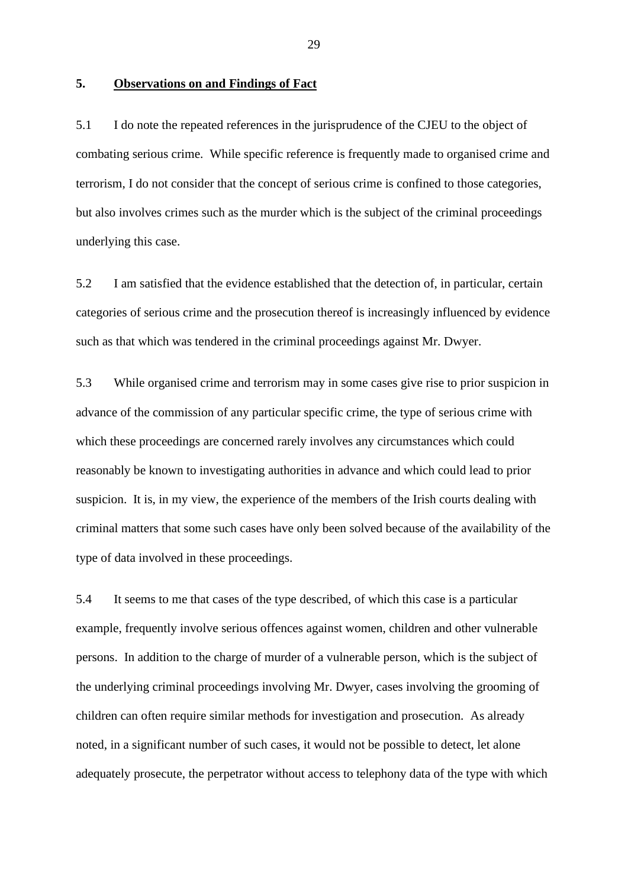### **5. Observations on and Findings of Fact**

5.1 I do note the repeated references in the jurisprudence of the CJEU to the object of combating serious crime. While specific reference is frequently made to organised crime and terrorism, I do not consider that the concept of serious crime is confined to those categories, but also involves crimes such as the murder which is the subject of the criminal proceedings underlying this case.

5.2 I am satisfied that the evidence established that the detection of, in particular, certain categories of serious crime and the prosecution thereof is increasingly influenced by evidence such as that which was tendered in the criminal proceedings against Mr. Dwyer.

5.3 While organised crime and terrorism may in some cases give rise to prior suspicion in advance of the commission of any particular specific crime, the type of serious crime with which these proceedings are concerned rarely involves any circumstances which could reasonably be known to investigating authorities in advance and which could lead to prior suspicion. It is, in my view, the experience of the members of the Irish courts dealing with criminal matters that some such cases have only been solved because of the availability of the type of data involved in these proceedings.

5.4 It seems to me that cases of the type described, of which this case is a particular example, frequently involve serious offences against women, children and other vulnerable persons. In addition to the charge of murder of a vulnerable person, which is the subject of the underlying criminal proceedings involving Mr. Dwyer, cases involving the grooming of children can often require similar methods for investigation and prosecution. As already noted, in a significant number of such cases, it would not be possible to detect, let alone adequately prosecute, the perpetrator without access to telephony data of the type with which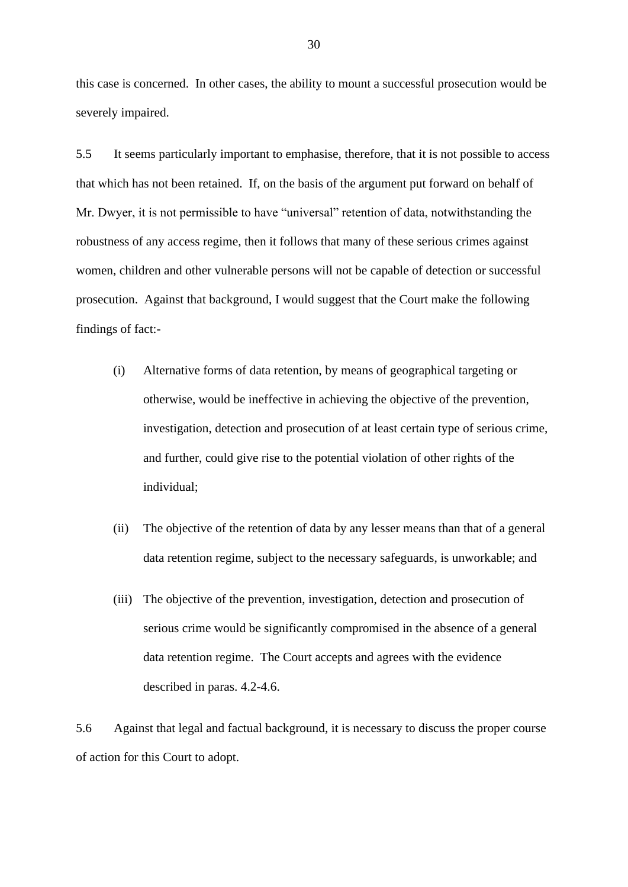this case is concerned. In other cases, the ability to mount a successful prosecution would be severely impaired.

5.5 It seems particularly important to emphasise, therefore, that it is not possible to access that which has not been retained. If, on the basis of the argument put forward on behalf of Mr. Dwyer, it is not permissible to have "universal" retention of data, notwithstanding the robustness of any access regime, then it follows that many of these serious crimes against women, children and other vulnerable persons will not be capable of detection or successful prosecution. Against that background, I would suggest that the Court make the following findings of fact:-

- (i) Alternative forms of data retention, by means of geographical targeting or otherwise, would be ineffective in achieving the objective of the prevention, investigation, detection and prosecution of at least certain type of serious crime, and further, could give rise to the potential violation of other rights of the individual;
- (ii) The objective of the retention of data by any lesser means than that of a general data retention regime, subject to the necessary safeguards, is unworkable; and
- (iii) The objective of the prevention, investigation, detection and prosecution of serious crime would be significantly compromised in the absence of a general data retention regime. The Court accepts and agrees with the evidence described in paras. 4.2-4.6.

5.6 Against that legal and factual background, it is necessary to discuss the proper course of action for this Court to adopt.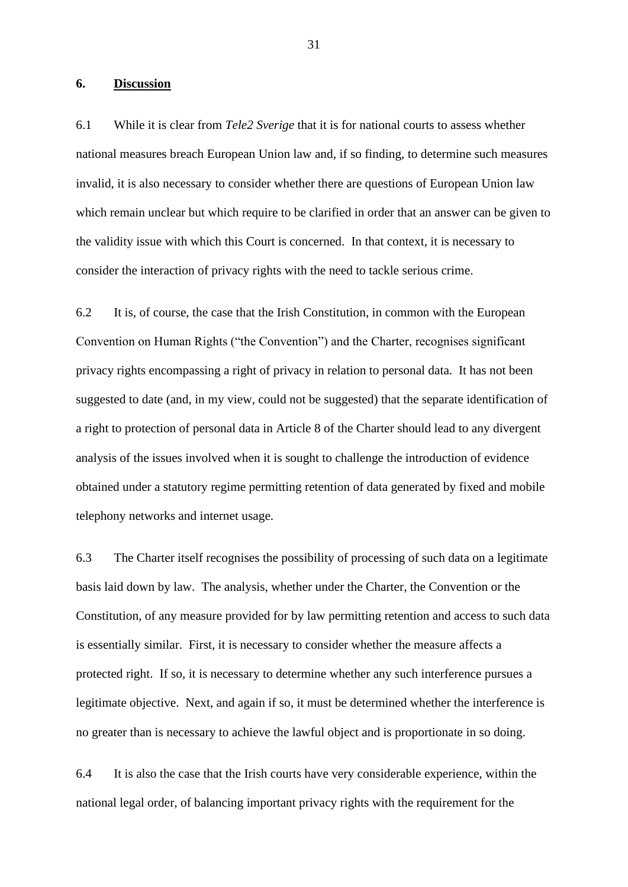#### **6. Discussion**

6.1 While it is clear from *Tele2 Sverige* that it is for national courts to assess whether national measures breach European Union law and, if so finding, to determine such measures invalid, it is also necessary to consider whether there are questions of European Union law which remain unclear but which require to be clarified in order that an answer can be given to the validity issue with which this Court is concerned. In that context, it is necessary to consider the interaction of privacy rights with the need to tackle serious crime.

6.2 It is, of course, the case that the Irish Constitution, in common with the European Convention on Human Rights ("the Convention") and the Charter, recognises significant privacy rights encompassing a right of privacy in relation to personal data. It has not been suggested to date (and, in my view, could not be suggested) that the separate identification of a right to protection of personal data in Article 8 of the Charter should lead to any divergent analysis of the issues involved when it is sought to challenge the introduction of evidence obtained under a statutory regime permitting retention of data generated by fixed and mobile telephony networks and internet usage.

6.3 The Charter itself recognises the possibility of processing of such data on a legitimate basis laid down by law. The analysis, whether under the Charter, the Convention or the Constitution, of any measure provided for by law permitting retention and access to such data is essentially similar. First, it is necessary to consider whether the measure affects a protected right. If so, it is necessary to determine whether any such interference pursues a legitimate objective. Next, and again if so, it must be determined whether the interference is no greater than is necessary to achieve the lawful object and is proportionate in so doing.

6.4 It is also the case that the Irish courts have very considerable experience, within the national legal order, of balancing important privacy rights with the requirement for the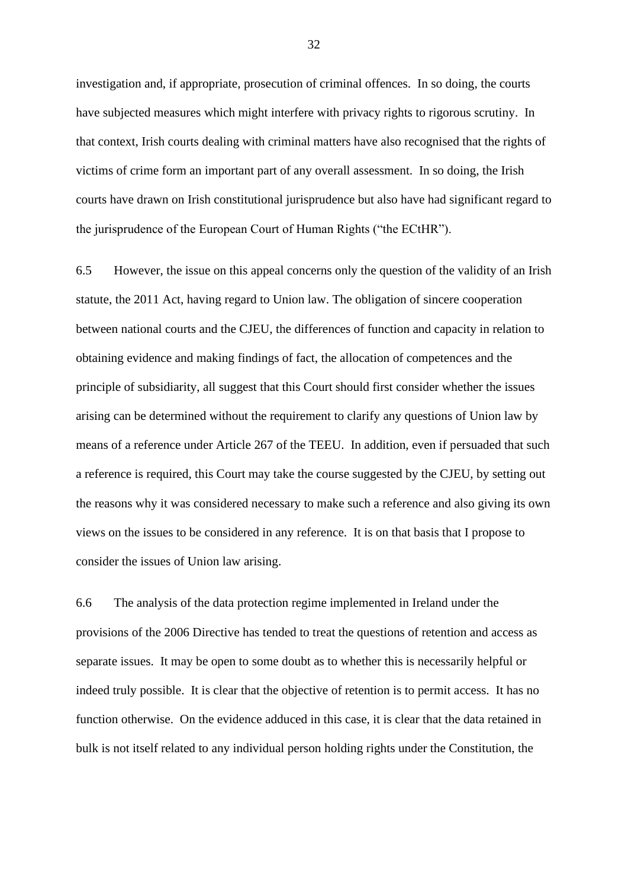investigation and, if appropriate, prosecution of criminal offences. In so doing, the courts have subjected measures which might interfere with privacy rights to rigorous scrutiny. In that context, Irish courts dealing with criminal matters have also recognised that the rights of victims of crime form an important part of any overall assessment. In so doing, the Irish courts have drawn on Irish constitutional jurisprudence but also have had significant regard to the jurisprudence of the European Court of Human Rights ("the ECtHR").

6.5 However, the issue on this appeal concerns only the question of the validity of an Irish statute, the 2011 Act, having regard to Union law. The obligation of sincere cooperation between national courts and the CJEU, the differences of function and capacity in relation to obtaining evidence and making findings of fact, the allocation of competences and the principle of subsidiarity, all suggest that this Court should first consider whether the issues arising can be determined without the requirement to clarify any questions of Union law by means of a reference under Article 267 of the TEEU. In addition, even if persuaded that such a reference is required, this Court may take the course suggested by the CJEU, by setting out the reasons why it was considered necessary to make such a reference and also giving its own views on the issues to be considered in any reference. It is on that basis that I propose to consider the issues of Union law arising.

6.6 The analysis of the data protection regime implemented in Ireland under the provisions of the 2006 Directive has tended to treat the questions of retention and access as separate issues. It may be open to some doubt as to whether this is necessarily helpful or indeed truly possible. It is clear that the objective of retention is to permit access. It has no function otherwise. On the evidence adduced in this case, it is clear that the data retained in bulk is not itself related to any individual person holding rights under the Constitution, the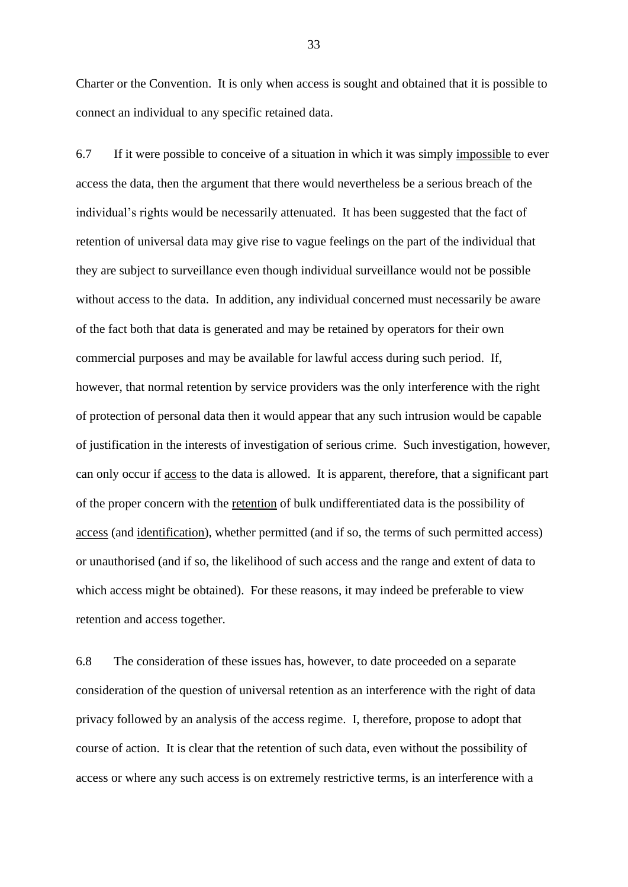Charter or the Convention. It is only when access is sought and obtained that it is possible to connect an individual to any specific retained data.

6.7 If it were possible to conceive of a situation in which it was simply impossible to ever access the data, then the argument that there would nevertheless be a serious breach of the individual's rights would be necessarily attenuated. It has been suggested that the fact of retention of universal data may give rise to vague feelings on the part of the individual that they are subject to surveillance even though individual surveillance would not be possible without access to the data. In addition, any individual concerned must necessarily be aware of the fact both that data is generated and may be retained by operators for their own commercial purposes and may be available for lawful access during such period. If, however, that normal retention by service providers was the only interference with the right of protection of personal data then it would appear that any such intrusion would be capable of justification in the interests of investigation of serious crime. Such investigation, however, can only occur if access to the data is allowed. It is apparent, therefore, that a significant part of the proper concern with the retention of bulk undifferentiated data is the possibility of access (and identification), whether permitted (and if so, the terms of such permitted access) or unauthorised (and if so, the likelihood of such access and the range and extent of data to which access might be obtained). For these reasons, it may indeed be preferable to view retention and access together.

6.8 The consideration of these issues has, however, to date proceeded on a separate consideration of the question of universal retention as an interference with the right of data privacy followed by an analysis of the access regime. I, therefore, propose to adopt that course of action. It is clear that the retention of such data, even without the possibility of access or where any such access is on extremely restrictive terms, is an interference with a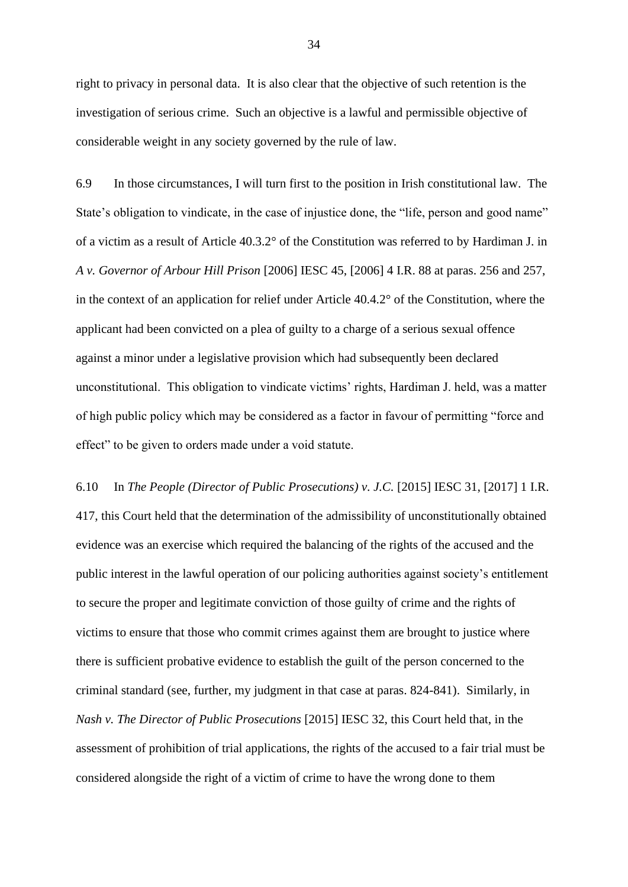right to privacy in personal data. It is also clear that the objective of such retention is the investigation of serious crime. Such an objective is a lawful and permissible objective of considerable weight in any society governed by the rule of law.

6.9 In those circumstances, I will turn first to the position in Irish constitutional law. The State's obligation to vindicate, in the case of injustice done, the "life, person and good name" of a victim as a result of Article 40.3.2° of the Constitution was referred to by Hardiman J. in *A v. Governor of Arbour Hill Prison* [2006] IESC 45, [2006] 4 I.R. 88 at paras. 256 and 257, in the context of an application for relief under Article 40.4.2° of the Constitution, where the applicant had been convicted on a plea of guilty to a charge of a serious sexual offence against a minor under a legislative provision which had subsequently been declared unconstitutional. This obligation to vindicate victims' rights, Hardiman J. held, was a matter of high public policy which may be considered as a factor in favour of permitting "force and effect" to be given to orders made under a void statute.

6.10 In *The People (Director of Public Prosecutions) v. J.C.* [2015] IESC 31, [2017] 1 I.R. 417, this Court held that the determination of the admissibility of unconstitutionally obtained evidence was an exercise which required the balancing of the rights of the accused and the public interest in the lawful operation of our policing authorities against society's entitlement to secure the proper and legitimate conviction of those guilty of crime and the rights of victims to ensure that those who commit crimes against them are brought to justice where there is sufficient probative evidence to establish the guilt of the person concerned to the criminal standard (see, further, my judgment in that case at paras. 824-841). Similarly, in *Nash v. The Director of Public Prosecutions* [2015] IESC 32, this Court held that, in the assessment of prohibition of trial applications, the rights of the accused to a fair trial must be considered alongside the right of a victim of crime to have the wrong done to them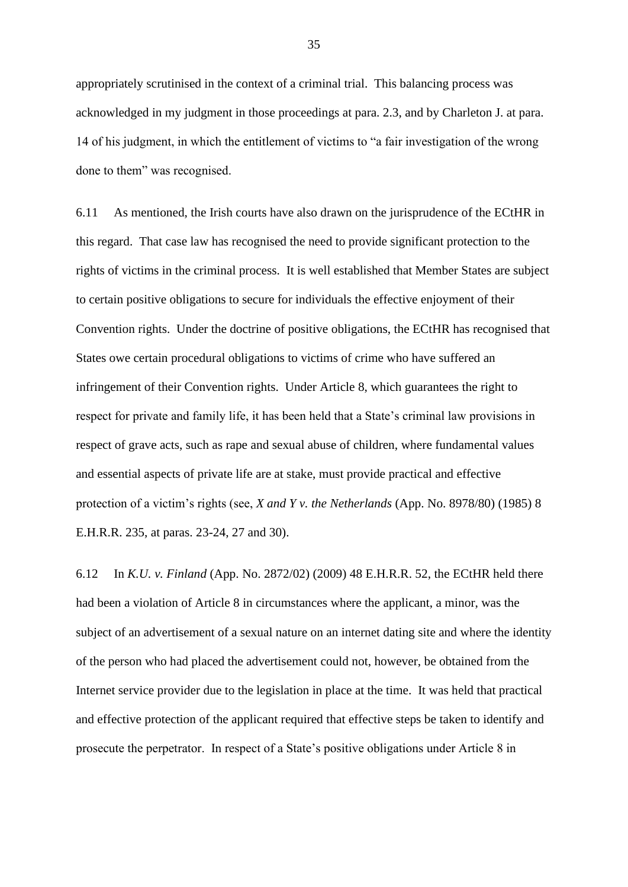appropriately scrutinised in the context of a criminal trial. This balancing process was acknowledged in my judgment in those proceedings at para. 2.3, and by Charleton J. at para. 14 of his judgment, in which the entitlement of victims to "a fair investigation of the wrong done to them" was recognised.

6.11 As mentioned, the Irish courts have also drawn on the jurisprudence of the ECtHR in this regard. That case law has recognised the need to provide significant protection to the rights of victims in the criminal process. It is well established that Member States are subject to certain positive obligations to secure for individuals the effective enjoyment of their Convention rights. Under the doctrine of positive obligations, the ECtHR has recognised that States owe certain procedural obligations to victims of crime who have suffered an infringement of their Convention rights. Under Article 8, which guarantees the right to respect for private and family life, it has been held that a State's criminal law provisions in respect of grave acts, such as rape and sexual abuse of children, where fundamental values and essential aspects of private life are at stake, must provide practical and effective protection of a victim's rights (see, *X and Y v. the Netherlands* (App. No. 8978/80) (1985) 8 E.H.R.R. 235, at paras. 23-24, 27 and 30).

6.12 In *K.U. v. Finland* (App. No. 2872/02) (2009) 48 E.H.R.R. 52, the ECtHR held there had been a violation of Article 8 in circumstances where the applicant, a minor, was the subject of an advertisement of a sexual nature on an internet dating site and where the identity of the person who had placed the advertisement could not, however, be obtained from the Internet service provider due to the legislation in place at the time. It was held that practical and effective protection of the applicant required that effective steps be taken to identify and prosecute the perpetrator. In respect of a State's positive obligations under Article 8 in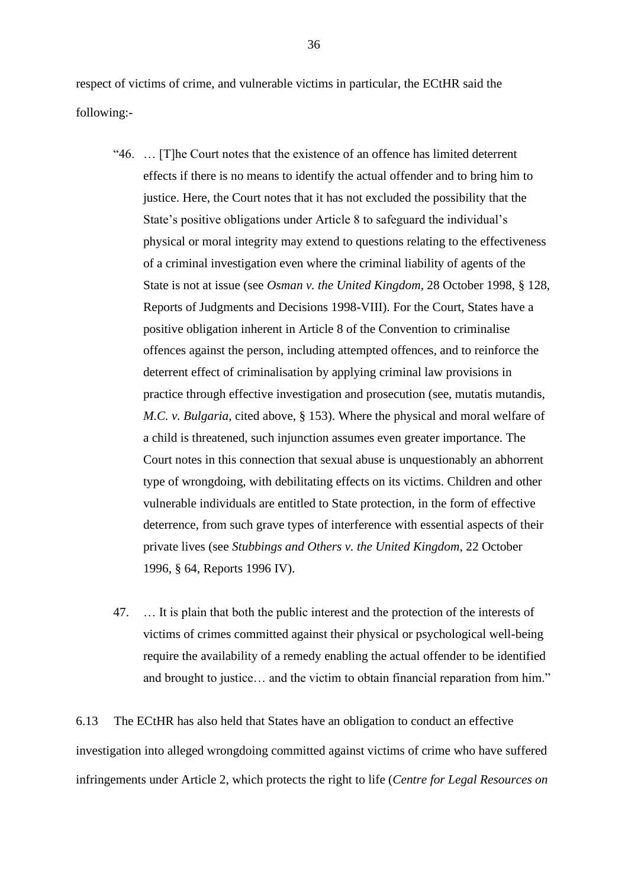respect of victims of crime, and vulnerable victims in particular, the ECtHR said the following:-

- "46. … [T]he Court notes that the existence of an offence has limited deterrent effects if there is no means to identify the actual offender and to bring him to justice. Here, the Court notes that it has not excluded the possibility that the State's positive obligations under Article 8 to safeguard the individual's physical or moral integrity may extend to questions relating to the effectiveness of a criminal investigation even where the criminal liability of agents of the State is not at issue (see *Osman v. the United Kingdom*, 28 October 1998, § 128, Reports of Judgments and Decisions 1998-VIII). For the Court, States have a positive obligation inherent in Article 8 of the Convention to criminalise offences against the person, including attempted offences, and to reinforce the deterrent effect of criminalisation by applying criminal law provisions in practice through effective investigation and prosecution (see, mutatis mutandis, *M.C. v. Bulgaria*, cited above, § 153). Where the physical and moral welfare of a child is threatened, such injunction assumes even greater importance. The Court notes in this connection that sexual abuse is unquestionably an abhorrent type of wrongdoing, with debilitating effects on its victims. Children and other vulnerable individuals are entitled to State protection, in the form of effective deterrence, from such grave types of interference with essential aspects of their private lives (see *Stubbings and Others v. the United Kingdom*, 22 October 1996, § 64, Reports 1996 IV).
- 47. … It is plain that both the public interest and the protection of the interests of victims of crimes committed against their physical or psychological well-being require the availability of a remedy enabling the actual offender to be identified and brought to justice… and the victim to obtain financial reparation from him."

6.13 The ECtHR has also held that States have an obligation to conduct an effective investigation into alleged wrongdoing committed against victims of crime who have suffered infringements under Article 2, which protects the right to life (*Centre for Legal Resources on*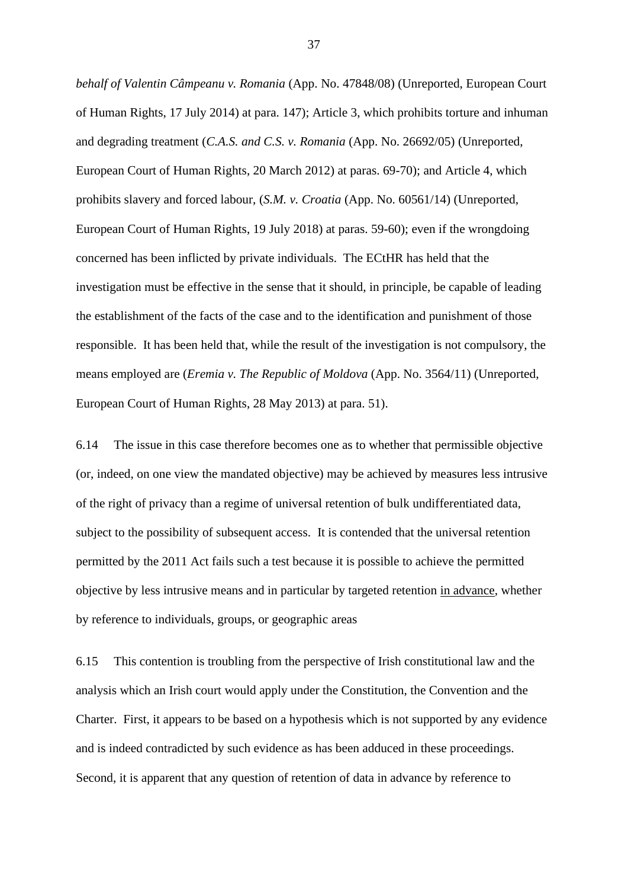*behalf of Valentin Câmpeanu v. Romania* (App. No. 47848/08) (Unreported, European Court of Human Rights, 17 July 2014) at para. 147); Article 3, which prohibits torture and inhuman and degrading treatment (*C.A.S. and C.S. v. Romania* (App. No. 26692/05) (Unreported, European Court of Human Rights, 20 March 2012) at paras. 69-70); and Article 4, which prohibits slavery and forced labour, (*S.M. v. Croatia* (App. No. 60561/14) (Unreported, European Court of Human Rights, 19 July 2018) at paras. 59-60); even if the wrongdoing concerned has been inflicted by private individuals. The ECtHR has held that the investigation must be effective in the sense that it should, in principle, be capable of leading the establishment of the facts of the case and to the identification and punishment of those responsible. It has been held that, while the result of the investigation is not compulsory, the means employed are (*Eremia v. The Republic of Moldova* (App. No. 3564/11) (Unreported, European Court of Human Rights, 28 May 2013) at para. 51).

6.14 The issue in this case therefore becomes one as to whether that permissible objective (or, indeed, on one view the mandated objective) may be achieved by measures less intrusive of the right of privacy than a regime of universal retention of bulk undifferentiated data, subject to the possibility of subsequent access. It is contended that the universal retention permitted by the 2011 Act fails such a test because it is possible to achieve the permitted objective by less intrusive means and in particular by targeted retention in advance, whether by reference to individuals, groups, or geographic areas

6.15 This contention is troubling from the perspective of Irish constitutional law and the analysis which an Irish court would apply under the Constitution, the Convention and the Charter. First, it appears to be based on a hypothesis which is not supported by any evidence and is indeed contradicted by such evidence as has been adduced in these proceedings. Second, it is apparent that any question of retention of data in advance by reference to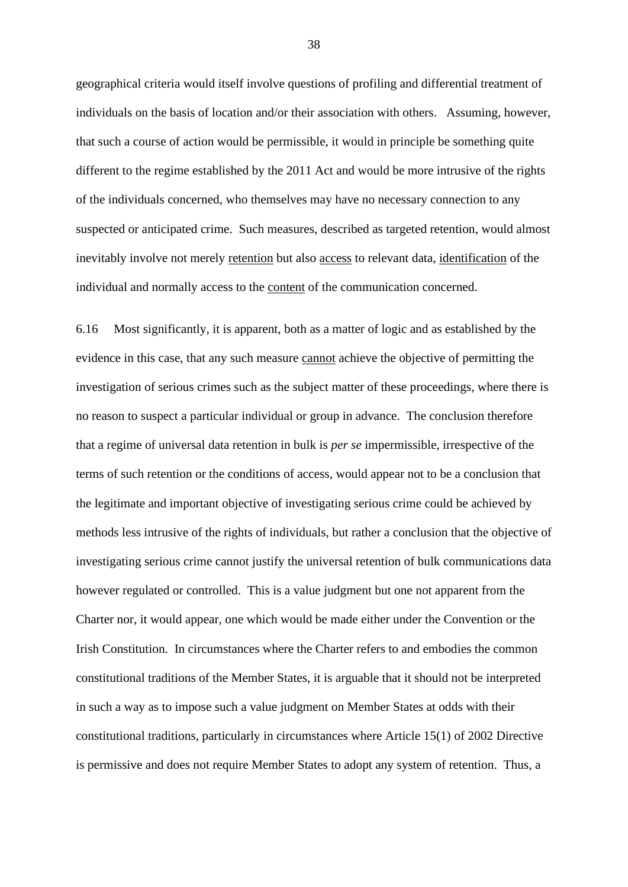geographical criteria would itself involve questions of profiling and differential treatment of individuals on the basis of location and/or their association with others. Assuming, however, that such a course of action would be permissible, it would in principle be something quite different to the regime established by the 2011 Act and would be more intrusive of the rights of the individuals concerned, who themselves may have no necessary connection to any suspected or anticipated crime. Such measures, described as targeted retention, would almost inevitably involve not merely retention but also access to relevant data, identification of the individual and normally access to the content of the communication concerned.

6.16 Most significantly, it is apparent, both as a matter of logic and as established by the evidence in this case, that any such measure cannot achieve the objective of permitting the investigation of serious crimes such as the subject matter of these proceedings, where there is no reason to suspect a particular individual or group in advance. The conclusion therefore that a regime of universal data retention in bulk is *per se* impermissible, irrespective of the terms of such retention or the conditions of access, would appear not to be a conclusion that the legitimate and important objective of investigating serious crime could be achieved by methods less intrusive of the rights of individuals, but rather a conclusion that the objective of investigating serious crime cannot justify the universal retention of bulk communications data however regulated or controlled. This is a value judgment but one not apparent from the Charter nor, it would appear, one which would be made either under the Convention or the Irish Constitution. In circumstances where the Charter refers to and embodies the common constitutional traditions of the Member States, it is arguable that it should not be interpreted in such a way as to impose such a value judgment on Member States at odds with their constitutional traditions, particularly in circumstances where Article 15(1) of 2002 Directive is permissive and does not require Member States to adopt any system of retention. Thus, a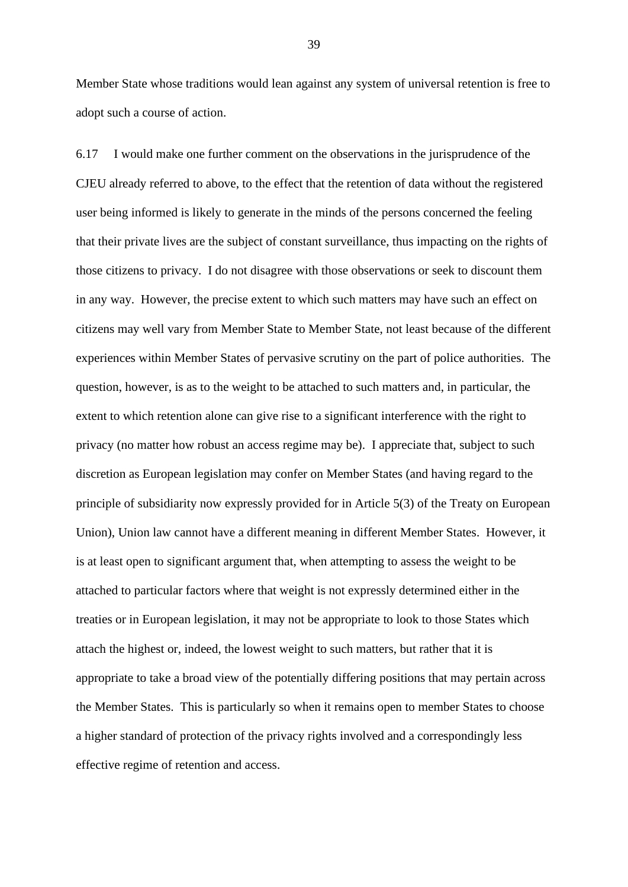Member State whose traditions would lean against any system of universal retention is free to adopt such a course of action.

6.17 I would make one further comment on the observations in the jurisprudence of the CJEU already referred to above, to the effect that the retention of data without the registered user being informed is likely to generate in the minds of the persons concerned the feeling that their private lives are the subject of constant surveillance, thus impacting on the rights of those citizens to privacy. I do not disagree with those observations or seek to discount them in any way. However, the precise extent to which such matters may have such an effect on citizens may well vary from Member State to Member State, not least because of the different experiences within Member States of pervasive scrutiny on the part of police authorities. The question, however, is as to the weight to be attached to such matters and, in particular, the extent to which retention alone can give rise to a significant interference with the right to privacy (no matter how robust an access regime may be). I appreciate that, subject to such discretion as European legislation may confer on Member States (and having regard to the principle of subsidiarity now expressly provided for in Article 5(3) of the Treaty on European Union), Union law cannot have a different meaning in different Member States. However, it is at least open to significant argument that, when attempting to assess the weight to be attached to particular factors where that weight is not expressly determined either in the treaties or in European legislation, it may not be appropriate to look to those States which attach the highest or, indeed, the lowest weight to such matters, but rather that it is appropriate to take a broad view of the potentially differing positions that may pertain across the Member States. This is particularly so when it remains open to member States to choose a higher standard of protection of the privacy rights involved and a correspondingly less effective regime of retention and access.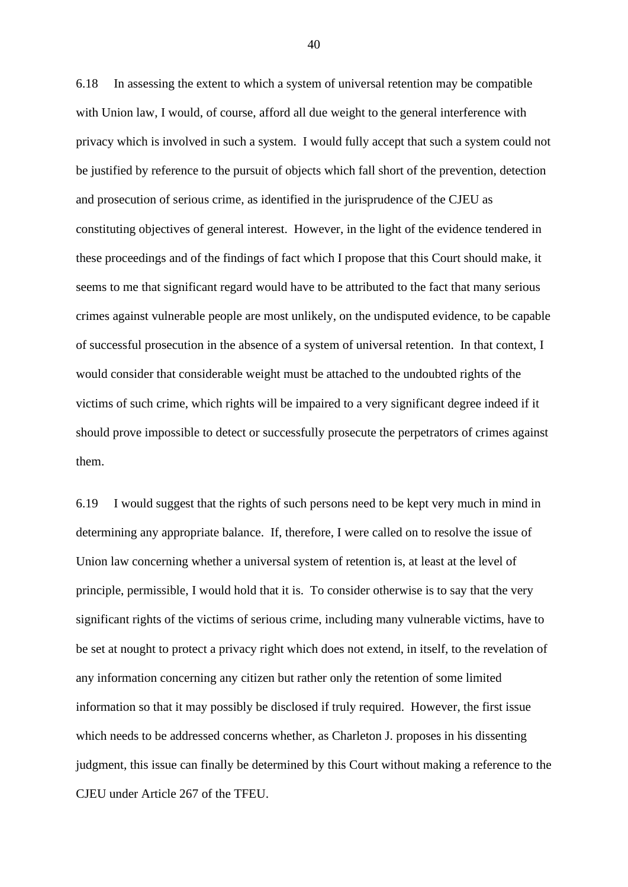6.18 In assessing the extent to which a system of universal retention may be compatible with Union law, I would, of course, afford all due weight to the general interference with privacy which is involved in such a system. I would fully accept that such a system could not be justified by reference to the pursuit of objects which fall short of the prevention, detection and prosecution of serious crime, as identified in the jurisprudence of the CJEU as constituting objectives of general interest. However, in the light of the evidence tendered in these proceedings and of the findings of fact which I propose that this Court should make, it seems to me that significant regard would have to be attributed to the fact that many serious crimes against vulnerable people are most unlikely, on the undisputed evidence, to be capable of successful prosecution in the absence of a system of universal retention. In that context, I would consider that considerable weight must be attached to the undoubted rights of the victims of such crime, which rights will be impaired to a very significant degree indeed if it should prove impossible to detect or successfully prosecute the perpetrators of crimes against them.

6.19 I would suggest that the rights of such persons need to be kept very much in mind in determining any appropriate balance. If, therefore, I were called on to resolve the issue of Union law concerning whether a universal system of retention is, at least at the level of principle, permissible, I would hold that it is. To consider otherwise is to say that the very significant rights of the victims of serious crime, including many vulnerable victims, have to be set at nought to protect a privacy right which does not extend, in itself, to the revelation of any information concerning any citizen but rather only the retention of some limited information so that it may possibly be disclosed if truly required. However, the first issue which needs to be addressed concerns whether, as Charleton J. proposes in his dissenting judgment, this issue can finally be determined by this Court without making a reference to the CJEU under Article 267 of the TFEU.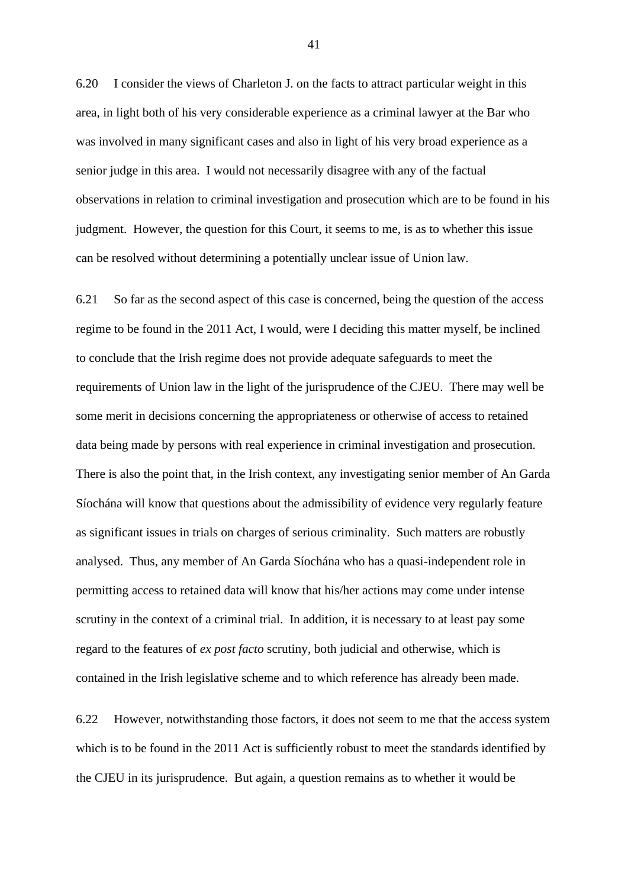6.20 I consider the views of Charleton J. on the facts to attract particular weight in this area, in light both of his very considerable experience as a criminal lawyer at the Bar who was involved in many significant cases and also in light of his very broad experience as a senior judge in this area. I would not necessarily disagree with any of the factual observations in relation to criminal investigation and prosecution which are to be found in his judgment. However, the question for this Court, it seems to me, is as to whether this issue can be resolved without determining a potentially unclear issue of Union law.

6.21 So far as the second aspect of this case is concerned, being the question of the access regime to be found in the 2011 Act, I would, were I deciding this matter myself, be inclined to conclude that the Irish regime does not provide adequate safeguards to meet the requirements of Union law in the light of the jurisprudence of the CJEU. There may well be some merit in decisions concerning the appropriateness or otherwise of access to retained data being made by persons with real experience in criminal investigation and prosecution. There is also the point that, in the Irish context, any investigating senior member of An Garda Síochána will know that questions about the admissibility of evidence very regularly feature as significant issues in trials on charges of serious criminality. Such matters are robustly analysed. Thus, any member of An Garda Síochána who has a quasi-independent role in permitting access to retained data will know that his/her actions may come under intense scrutiny in the context of a criminal trial. In addition, it is necessary to at least pay some regard to the features of *ex post facto* scrutiny, both judicial and otherwise, which is contained in the Irish legislative scheme and to which reference has already been made.

6.22 However, notwithstanding those factors, it does not seem to me that the access system which is to be found in the 2011 Act is sufficiently robust to meet the standards identified by the CJEU in its jurisprudence. But again, a question remains as to whether it would be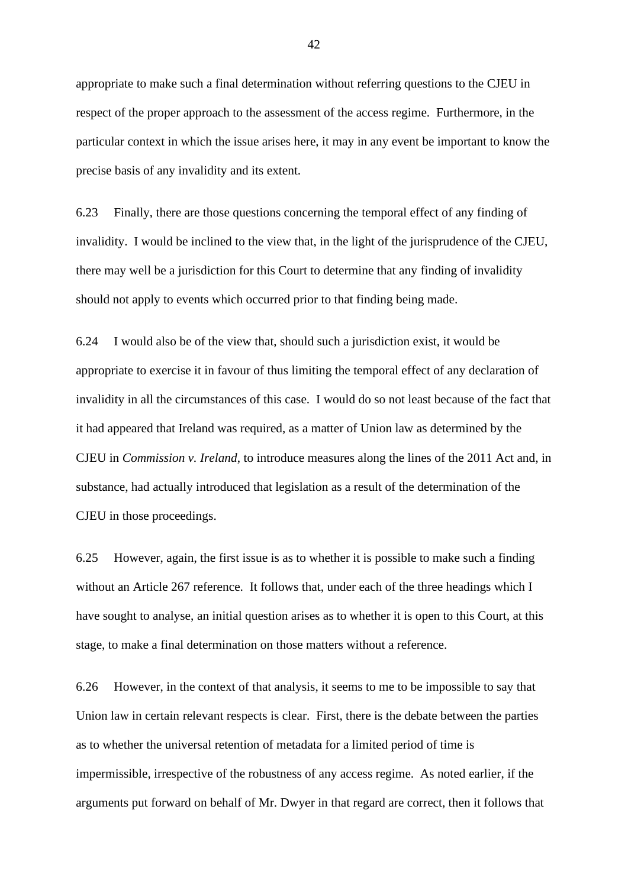appropriate to make such a final determination without referring questions to the CJEU in respect of the proper approach to the assessment of the access regime. Furthermore, in the particular context in which the issue arises here, it may in any event be important to know the precise basis of any invalidity and its extent.

6.23 Finally, there are those questions concerning the temporal effect of any finding of invalidity. I would be inclined to the view that, in the light of the jurisprudence of the CJEU, there may well be a jurisdiction for this Court to determine that any finding of invalidity should not apply to events which occurred prior to that finding being made.

6.24 I would also be of the view that, should such a jurisdiction exist, it would be appropriate to exercise it in favour of thus limiting the temporal effect of any declaration of invalidity in all the circumstances of this case. I would do so not least because of the fact that it had appeared that Ireland was required, as a matter of Union law as determined by the CJEU in *Commission v. Ireland*, to introduce measures along the lines of the 2011 Act and, in substance, had actually introduced that legislation as a result of the determination of the CJEU in those proceedings.

6.25 However, again, the first issue is as to whether it is possible to make such a finding without an Article 267 reference. It follows that, under each of the three headings which I have sought to analyse, an initial question arises as to whether it is open to this Court, at this stage, to make a final determination on those matters without a reference.

6.26 However, in the context of that analysis, it seems to me to be impossible to say that Union law in certain relevant respects is clear. First, there is the debate between the parties as to whether the universal retention of metadata for a limited period of time is impermissible, irrespective of the robustness of any access regime. As noted earlier, if the arguments put forward on behalf of Mr. Dwyer in that regard are correct, then it follows that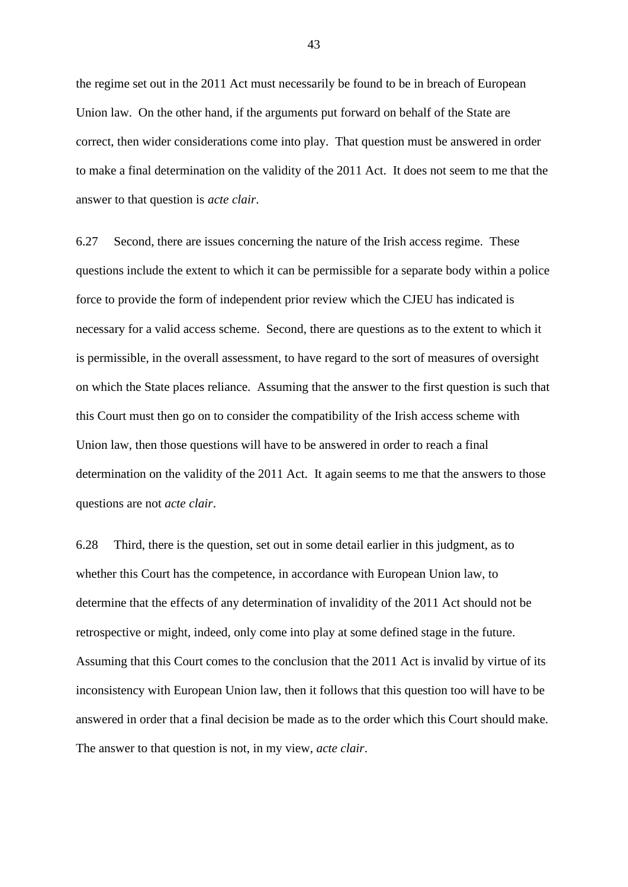the regime set out in the 2011 Act must necessarily be found to be in breach of European Union law. On the other hand, if the arguments put forward on behalf of the State are correct, then wider considerations come into play. That question must be answered in order to make a final determination on the validity of the 2011 Act. It does not seem to me that the answer to that question is *acte clair*.

6.27 Second, there are issues concerning the nature of the Irish access regime. These questions include the extent to which it can be permissible for a separate body within a police force to provide the form of independent prior review which the CJEU has indicated is necessary for a valid access scheme. Second, there are questions as to the extent to which it is permissible, in the overall assessment, to have regard to the sort of measures of oversight on which the State places reliance. Assuming that the answer to the first question is such that this Court must then go on to consider the compatibility of the Irish access scheme with Union law, then those questions will have to be answered in order to reach a final determination on the validity of the 2011 Act. It again seems to me that the answers to those questions are not *acte clair*.

6.28 Third, there is the question, set out in some detail earlier in this judgment, as to whether this Court has the competence, in accordance with European Union law, to determine that the effects of any determination of invalidity of the 2011 Act should not be retrospective or might, indeed, only come into play at some defined stage in the future. Assuming that this Court comes to the conclusion that the 2011 Act is invalid by virtue of its inconsistency with European Union law, then it follows that this question too will have to be answered in order that a final decision be made as to the order which this Court should make. The answer to that question is not, in my view, *acte clair*.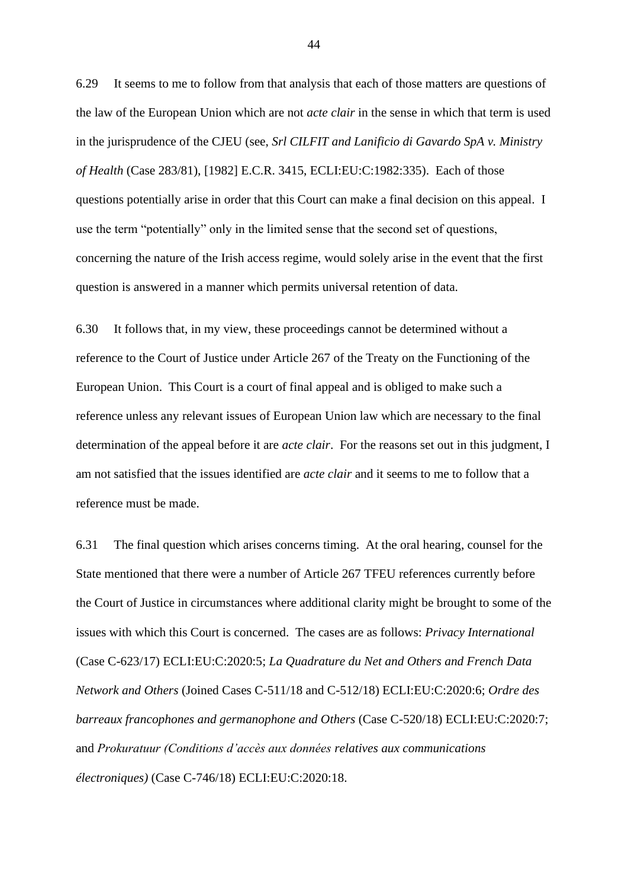6.29 It seems to me to follow from that analysis that each of those matters are questions of the law of the European Union which are not *acte clair* in the sense in which that term is used in the jurisprudence of the CJEU (see, *Srl CILFIT and Lanificio di Gavardo SpA v. Ministry of Health* (Case 283/81), [1982] E.C.R. 3415, ECLI:EU:C:1982:335). Each of those questions potentially arise in order that this Court can make a final decision on this appeal. I use the term "potentially" only in the limited sense that the second set of questions, concerning the nature of the Irish access regime, would solely arise in the event that the first question is answered in a manner which permits universal retention of data.

6.30 It follows that, in my view, these proceedings cannot be determined without a reference to the Court of Justice under Article 267 of the Treaty on the Functioning of the European Union. This Court is a court of final appeal and is obliged to make such a reference unless any relevant issues of European Union law which are necessary to the final determination of the appeal before it are *acte clair*. For the reasons set out in this judgment, I am not satisfied that the issues identified are *acte clair* and it seems to me to follow that a reference must be made.

6.31 The final question which arises concerns timing. At the oral hearing, counsel for the State mentioned that there were a number of Article 267 TFEU references currently before the Court of Justice in circumstances where additional clarity might be brought to some of the issues with which this Court is concerned. The cases are as follows: *Privacy International*  (Case C-623/17) ECLI:EU:C:2020:5; *La Quadrature du Net and Others and French Data Network and Others* (Joined Cases C-511/18 and C-512/18) ECLI:EU:C:2020:6; *Ordre des barreaux francophones and germanophone and Others* (Case C-520/18) ECLI:EU:C:2020:7; and *Prokuratuur (Conditions d'accès aux données relatives aux communications électroniques)* (Case C-746/18) ECLI:EU:C:2020:18.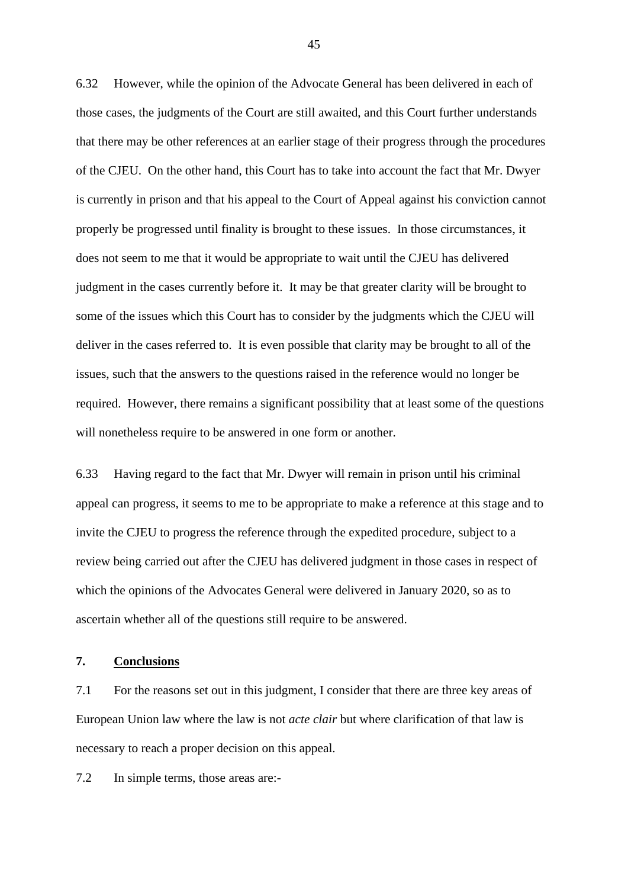6.32 However, while the opinion of the Advocate General has been delivered in each of those cases, the judgments of the Court are still awaited, and this Court further understands that there may be other references at an earlier stage of their progress through the procedures of the CJEU. On the other hand, this Court has to take into account the fact that Mr. Dwyer is currently in prison and that his appeal to the Court of Appeal against his conviction cannot properly be progressed until finality is brought to these issues. In those circumstances, it does not seem to me that it would be appropriate to wait until the CJEU has delivered judgment in the cases currently before it. It may be that greater clarity will be brought to some of the issues which this Court has to consider by the judgments which the CJEU will deliver in the cases referred to. It is even possible that clarity may be brought to all of the issues, such that the answers to the questions raised in the reference would no longer be required. However, there remains a significant possibility that at least some of the questions will nonetheless require to be answered in one form or another.

6.33 Having regard to the fact that Mr. Dwyer will remain in prison until his criminal appeal can progress, it seems to me to be appropriate to make a reference at this stage and to invite the CJEU to progress the reference through the expedited procedure, subject to a review being carried out after the CJEU has delivered judgment in those cases in respect of which the opinions of the Advocates General were delivered in January 2020, so as to ascertain whether all of the questions still require to be answered.

#### **7. Conclusions**

7.1 For the reasons set out in this judgment, I consider that there are three key areas of European Union law where the law is not *acte clair* but where clarification of that law is necessary to reach a proper decision on this appeal.

7.2 In simple terms, those areas are:-